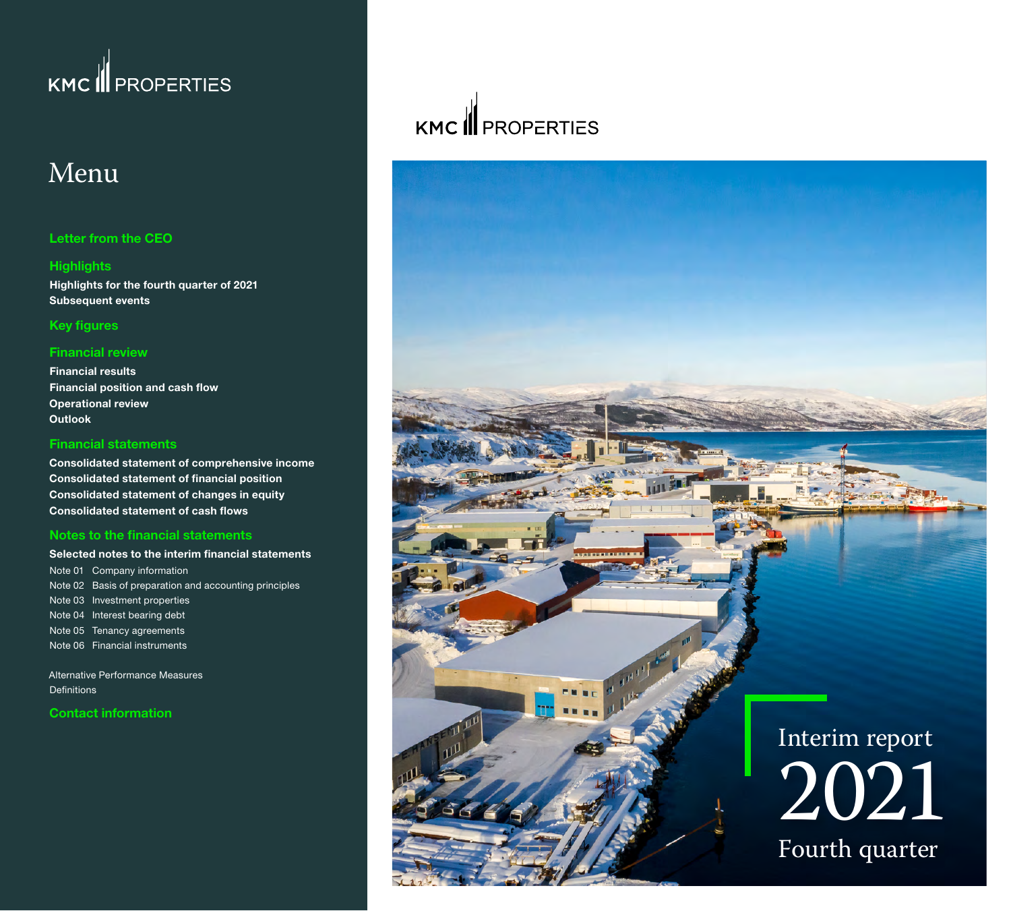## Menu

#### **[Letter from the CEO](#page-1-0)**

### **[Highlights](#page-2-0)**

**[Highlights for the fourth quarter of 2021](#page-2-0) [Subsequent events](#page-2-0)**

#### **[Key figures](#page-3-0)**

#### **[Financial review](#page-4-0)**

**[Financial results](#page-4-0) [Financial position and cash flow](#page-5-0) [Operational review](#page-6-0) [Outlook](#page-10-0)**

#### **[Financial statements](#page-11-0)**

**[Consolidated statement of comprehensive income](#page-11-0) [Consolidated statement of financial position](#page-12-0) [Consolidated statement of changes in equity](#page-13-0) [Consolidated statement of cash flows](#page-14-0)**

#### **[Notes to the financial statements](#page-15-0)**

**[Selected notes to the interim financial statements](#page-15-0)** [Note 01 Company information](#page-15-0)  [Note 02 Basis of preparation and accounting principles](#page-15-0) [Note 03 Investment properties](#page-15-0) [Note 04 Interest bearing debt](#page-16-0) [Note 05 Tenancy agreements](#page-17-0) [Note 06 Financial instruments](#page-18-0) 

[Alternative Performance Measures](#page-19-0)  **Definitions** 

**[Contact information](#page-21-0)**

## KMC **I** PROPERTIES

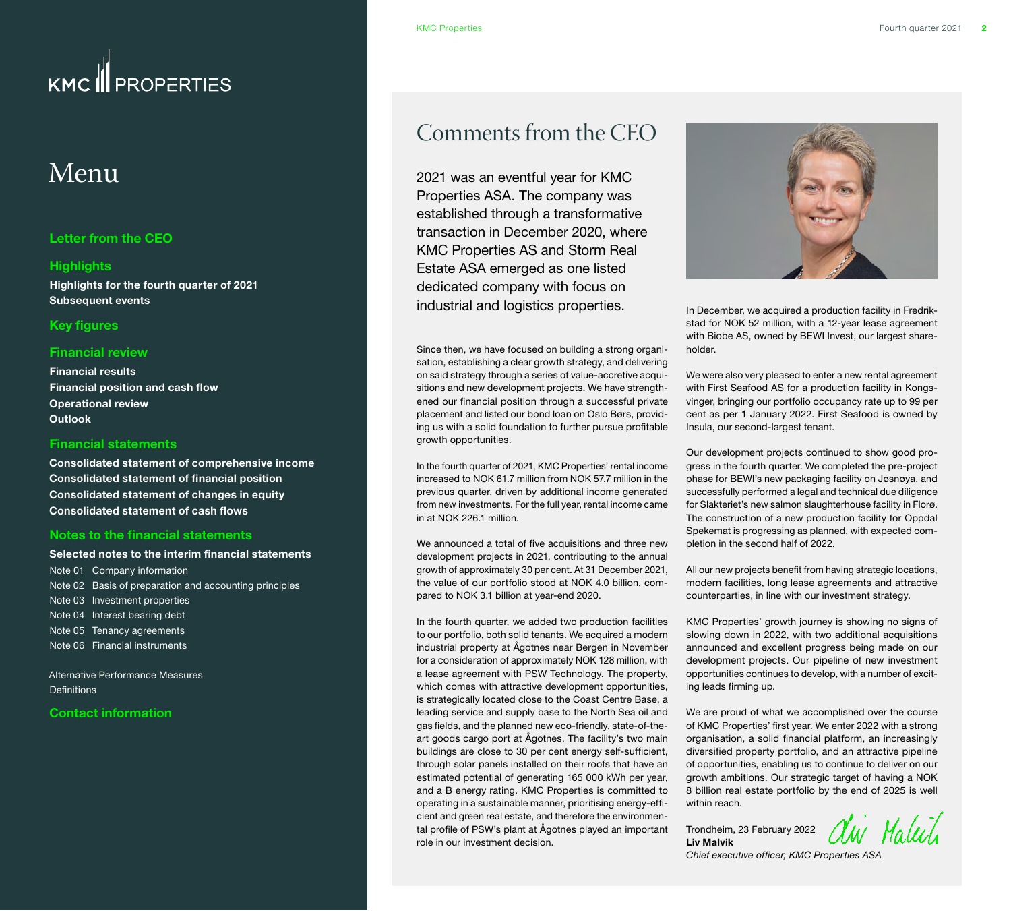## <span id="page-1-0"></span>Menu

#### **Letter from the CEO**

#### **[Highlights](#page-2-0)**

**[Highlights for the fourth quarter of 2021](#page-2-0) [Subsequent events](#page-2-0)**

#### **[Key figures](#page-3-0)**

#### **[Financial review](#page-4-0)**

**[Financial results](#page-4-0) [Financial position and cash flow](#page-5-0) [Operational review](#page-6-0) [Outlook](#page-10-0)**

#### **[Financial statements](#page-11-0)**

**[Consolidated statement of comprehensive income](#page-11-0) [Consolidated statement of financial position](#page-12-0) [Consolidated statement of changes in equity](#page-13-0) [Consolidated statement of cash flows](#page-14-0)**

#### **[Notes to the financial statements](#page-15-0)**

#### **[Selected notes to the interim financial statements](#page-15-0)**

[Note 01 Company information](#page-15-0)  [Note 02 Basis of preparation and accounting principles](#page-15-0) [Note 03 Investment properties](#page-15-0) [Note 04 Interest bearing debt](#page-16-0) [Note 05 Tenancy agreements](#page-17-0) [Note 06 Financial instruments](#page-18-0) 

[Alternative Performance Measures](#page-19-0)  **Definitions** 

#### **[Contact information](#page-21-0)**

### Comments from the CEO

2021 was an eventful year for KMC Properties ASA. The company was established through a transformative transaction in December 2020, where KMC Properties AS and Storm Real Estate ASA emerged as one listed dedicated company with focus on industrial and logistics properties.

Since then, we have focused on building a strong organisation, establishing a clear growth strategy, and delivering on said strategy through a series of value-accretive acquisitions and new development projects. We have strengthened our financial position through a successful private placement and listed our bond loan on Oslo Børs, providing us with a solid foundation to further pursue profitable growth opportunities.

In the fourth quarter of 2021, KMC Properties' rental income increased to NOK 61.7 million from NOK 57.7 million in the previous quarter, driven by additional income generated from new investments. For the full year, rental income came in at NOK 226.1 million.

We announced a total of five acquisitions and three new development projects in 2021, contributing to the annual growth of approximately 30 per cent. At 31 December 2021, the value of our portfolio stood at NOK 4.0 billion, compared to NOK 3.1 billion at year-end 2020.

In the fourth quarter, we added two production facilities to our portfolio, both solid tenants. We acquired a modern industrial property at Ågotnes near Bergen in November for a consideration of approximately NOK 128 million, with a lease agreement with PSW Technology. The property, which comes with attractive development opportunities, is strategically located close to the Coast Centre Base, a leading service and supply base to the North Sea oil and gas fields, and the planned new eco-friendly, state-of-theart goods cargo port at Ågotnes. The facility's two main buildings are close to 30 per cent energy self-sufficient, through solar panels installed on their roofs that have an estimated potential of generating 165 000 kWh per year, and a B energy rating. KMC Properties is committed to operating in a sustainable manner, prioritising energy-efficient and green real estate, and therefore the environmental profile of PSW's plant at Ågotnes played an important role in our investment decision.



In December, we acquired a production facility in Fredrikstad for NOK 52 million, with a 12-year lease agreement with Biobe AS, owned by BEWI Invest, our largest shareholder.

We were also very pleased to enter a new rental agreement with First Seafood AS for a production facility in Kongsvinger, bringing our portfolio occupancy rate up to 99 per cent as per 1 January 2022. First Seafood is owned by Insula, our second-largest tenant.

Our development projects continued to show good progress in the fourth quarter. We completed the pre-project phase for BEWI's new packaging facility on Jøsnøya, and successfully performed a legal and technical due diligence for Slakteriet's new salmon slaughterhouse facility in Florø. The construction of a new production facility for Oppdal Spekemat is progressing as planned, with expected completion in the second half of 2022.

All our new projects benefit from having strategic locations, modern facilities, long lease agreements and attractive counterparties, in line with our investment strategy.

KMC Properties' growth journey is showing no signs of slowing down in 2022, with two additional acquisitions announced and excellent progress being made on our development projects. Our pipeline of new investment opportunities continues to develop, with a number of exciting leads firming up.

We are proud of what we accomplished over the course of KMC Properties' first year. We enter 2022 with a strong organisation, a solid financial platform, an increasingly diversified property portfolio, and an attractive pipeline of opportunities, enabling us to continue to deliver on our growth ambitions. Our strategic target of having a NOK 8 billion real estate portfolio by the end of 2025 is well within reach.

Trondheim, 23 February 2022 **Liv Malvik**



*Chief executive officer, KMC Properties ASA*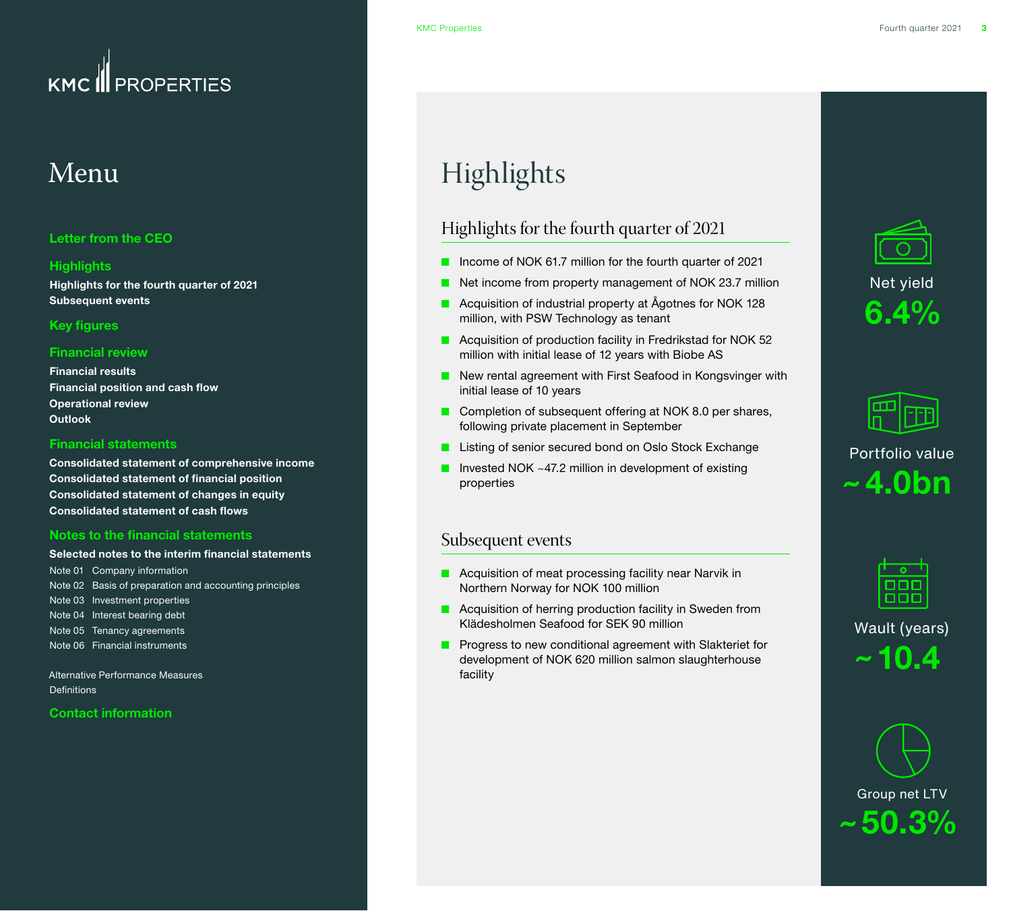## <span id="page-2-0"></span> $\overline{\text{M}}$ enu

#### **[Letter from the CEO](#page-1-0)**

#### **Highlights**

**Highlights for the fourth quarter of 2021 Subsequent events**

#### **[Key figures](#page-3-0)**

#### **[Financial review](#page-4-0)**

**[Financial results](#page-4-0) [Financial position and cash flow](#page-5-0) [Operational review](#page-6-0) [Outlook](#page-10-0)**

#### **[Financial statements](#page-11-0)**

**[Consolidated statement of comprehensive income](#page-11-0) [Consolidated statement of financial position](#page-12-0) [Consolidated statement of changes in equity](#page-13-0) [Consolidated statement of cash flows](#page-14-0)**

#### **[Notes to the financial statements](#page-15-0)**

#### **[Selected notes to the interim financial statements](#page-15-0)** [Note 01 Company information](#page-15-0)

[Note 02 Basis of preparation and accounting principles](#page-15-0) [Note 03 Investment properties](#page-15-0) [Note 04 Interest bearing debt](#page-16-0) [Note 05 Tenancy agreements](#page-17-0) [Note 06 Financial instruments](#page-18-0) 

[Alternative Performance Measures](#page-19-0)  [Definitions](#page-20-0) 

#### **[Contact information](#page-21-0)**

## Highlights

### Highlights for the fourth quarter of 2021

- Income of NOK 61.7 million for the fourth quarter of 2021
- Net income from property management of NOK 23.7 million
- Acquisition of industrial property at Ågotnes for NOK 128 million, with PSW Technology as tenant
- Acquisition of production facility in Fredrikstad for NOK 52 million with initial lease of 12 years with Biobe AS
- New rental agreement with First Seafood in Kongsvinger with initial lease of 10 years
- Completion of subsequent offering at NOK 8.0 per shares, following private placement in September
- Listing of senior secured bond on Oslo Stock Exchange
- Invested NOK ~47.2 million in development of existing properties

#### Subsequent events

- Acquisition of meat processing facility near Narvik in Northern Norway for NOK 100 million
- Acquisition of herring production facility in Sweden from Klädesholmen Seafood for SEK 90 million
- Progress to new conditional agreement with Slakteriet for development of NOK 620 million salmon slaughterhouse facility





Portfolio value **˜ 4.0bn**

Wault (years) **˜ 10.4**

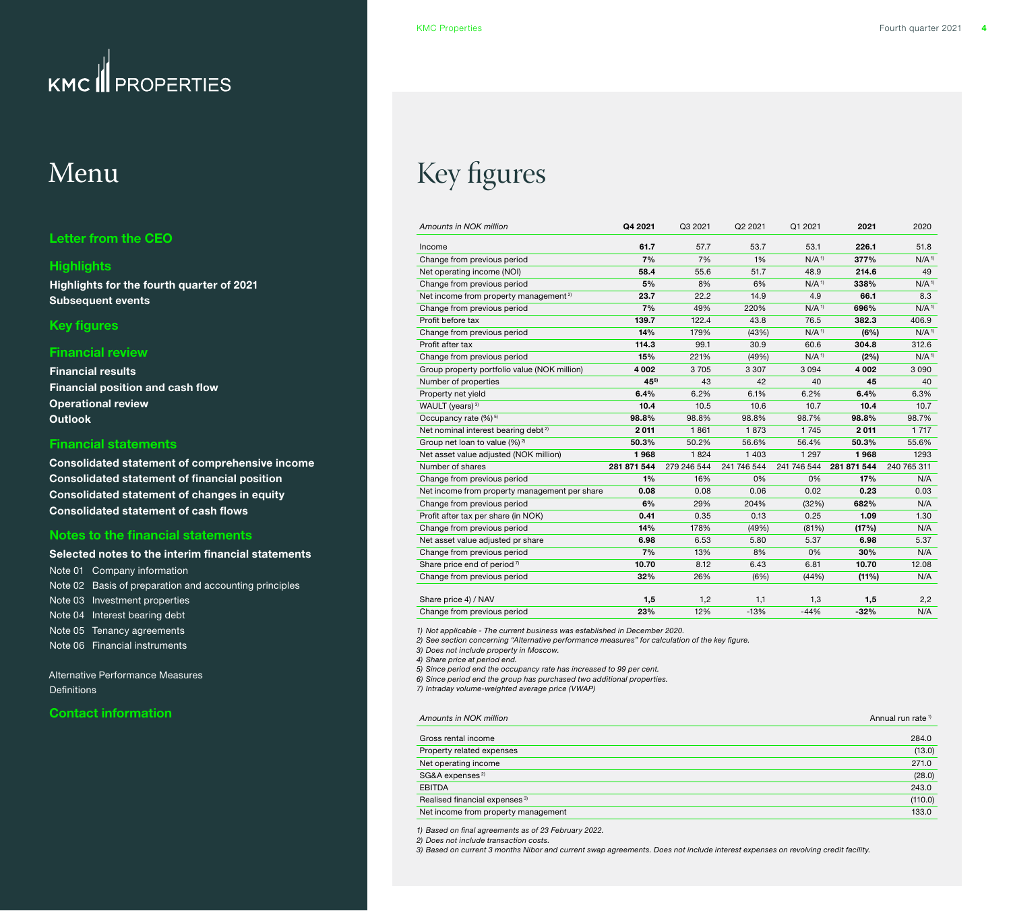### <span id="page-3-0"></span>Menu

#### **[Letter from the CEO](#page-1-0)**

#### **[Highlights](#page-2-0)**

**[Highlights for the fourth quarter of 2021](#page-2-0) [Subsequent events](#page-2-0)**

#### **Key figures**

#### **[Financial review](#page-4-0)**

**[Financial results](#page-4-0) [Financial position and cash flow](#page-5-0) [Operational review](#page-6-0) [Outlook](#page-10-0)**

#### **[Financial statements](#page-11-0)**

**[Consolidated statement of comprehensive income](#page-11-0) [Consolidated statement of financial position](#page-12-0) [Consolidated statement of changes in equity](#page-13-0) [Consolidated statement of cash flows](#page-14-0)**

#### **[Notes to the financial statements](#page-15-0)**

#### **[Selected notes to the interim financial statements](#page-15-0)** [Note 01 Company information](#page-15-0)  [Note 02 Basis of preparation and accounting principles](#page-15-0) [Note 03 Investment properties](#page-15-0) [Note 04 Interest bearing debt](#page-16-0) [Note 05 Tenancy agreements](#page-17-0) [Note 06 Financial instruments](#page-18-0)

[Alternative Performance Measures](#page-19-0)  **Definitions** 

#### **[Contact information](#page-21-0)**

## Key figures

| Amounts in NOK million                            | Q4 2021          | Q3 2021     | Q2 2021     | Q1 2021             | 2021        | 2020                |
|---------------------------------------------------|------------------|-------------|-------------|---------------------|-------------|---------------------|
| Income                                            | 61.7             | 57.7        | 53.7        | 53.1                | 226.1       | 51.8                |
| Change from previous period                       | 7%               | 7%          | 1%          | $N/A$ <sup>1)</sup> | 377%        | $N/A$ <sup>1)</sup> |
| Net operating income (NOI)                        | 58.4             | 55.6        | 51.7        | 48.9                | 214.6       | 49                  |
| Change from previous period                       | 5%               | 8%          | 6%          | $N/A$ <sup>1)</sup> | 338%        | $N/A$ <sup>1)</sup> |
| Net income from property management <sup>2)</sup> | 23.7             | 22.2        | 14.9        | 4.9                 | 66.1        | 8.3                 |
| Change from previous period                       | 7%               | 49%         | 220%        | $N/A$ <sup>1)</sup> | 696%        | $N/A$ <sup>1)</sup> |
| Profit before tax                                 | 139.7            | 122.4       | 43.8        | 76.5                | 382.3       | 406.9               |
| Change from previous period                       | 14%              | 179%        | (43%)       | $N/A$ <sup>1)</sup> | (6%)        | $N/A$ <sup>1)</sup> |
| Profit after tax                                  | 114.3            | 99.1        | 30.9        | 60.6                | 304.8       | 312.6               |
| Change from previous period                       | 15%              | 221%        | (49%)       | $N/A$ <sup>1)</sup> | (2%)        | $N/A$ <sup>1)</sup> |
| Group property portfolio value (NOK million)      | 4 0 0 2          | 3705        | 3 3 0 7     | 3094                | 4 0 0 2     | 3 0 9 0             |
| Number of properties                              | 45 <sup>6)</sup> | 43          | 42          | 40                  | 45          | 40                  |
| Property net yield                                | 6.4%             | 6.2%        | 6.1%        | 6.2%                | 6.4%        | 6.3%                |
| WAULT (years) <sup>3)</sup>                       | 10.4             | 10.5        | 10.6        | 10.7                | 10.4        | 10.7                |
| Occupancy rate $(%)^{5}$                          | 98.8%            | 98.8%       | 98.8%       | 98.7%               | 98.8%       | 98.7%               |
| Net nominal interest bearing debt <sup>2)</sup>   | 2011             | 1861        | 1873        | 1745                | 2011        | 1 7 1 7             |
| Group net loan to value $(\%)^2$                  | 50.3%            | 50.2%       | 56.6%       | 56.4%               | 50.3%       | 55.6%               |
| Net asset value adjusted (NOK million)            | 1968             | 1824        | 1 4 0 3     | 1 2 9 7             | 1968        | 1293                |
| Number of shares                                  | 281 871 544      | 279 246 544 | 241 746 544 | 241 746 544         | 281 871 544 | 240 765 311         |
| Change from previous period                       | 1%               | 16%         | 0%          | 0%                  | 17%         | N/A                 |
| Net income from property management per share     | 0.08             | 0.08        | 0.06        | 0.02                | 0.23        | 0.03                |
| Change from previous period                       | 6%               | 29%         | 204%        | (32%)               | 682%        | N/A                 |
| Profit after tax per share (in NOK)               | 0.41             | 0.35        | 0.13        | 0.25                | 1.09        | 1.30                |
| Change from previous period                       | 14%              | 178%        | (49%)       | (81%)               | (17%)       | N/A                 |
| Net asset value adjusted pr share                 | 6.98             | 6.53        | 5.80        | 5.37                | 6.98        | 5.37                |
| Change from previous period                       | 7%               | 13%         | 8%          | 0%                  | 30%         | N/A                 |
| Share price end of period $\frac{7}{2}$           | 10.70            | 8.12        | 6.43        | 6.81                | 10.70       | 12.08               |
| Change from previous period                       | 32%              | 26%         | (6%)        | (44%)               | $(11\%)$    | N/A                 |
| Share price 4) / NAV                              | 1,5              | 1,2         | 1,1         | 1,3                 | 1,5         | 2,2                 |
| Change from previous period                       | 23%              | 12%         | $-13%$      | $-44%$              | $-32%$      | N/A                 |
|                                                   |                  |             |             |                     |             |                     |

*1) Not applicable - The current business was established in December 2020.*

*2) See section concerning "Alternative performance measures" for calculation of the key figure.*

*3) Does not include property in Moscow.*

*4) Share price at period end.*

*5) Since period end the occupancy rate has increased to 99 per cent.*

*6) Since period end the group has purchased two additional properties.*

*7) Intraday volume-weighted average price (VWAP)*

#### *Amounts in NOK million* Annual run rate 1)

| Gross rental income                       | 284.0   |
|-------------------------------------------|---------|
| Property related expenses                 | (13.0)  |
| Net operating income                      | 271.0   |
| SG&A expenses <sup>2)</sup>               | (28.0)  |
| <b>EBITDA</b>                             | 243.0   |
| Realised financial expenses <sup>3)</sup> | (110.0) |
| Net income from property management       | 133.0   |
|                                           |         |

*1) Based on final agreements as of 23 February 2022.*

*2) Does not include transaction costs.* 

*3) Based on current 3 months Nibor and current swap agreements. Does not include interest expenses on revolving credit facility.*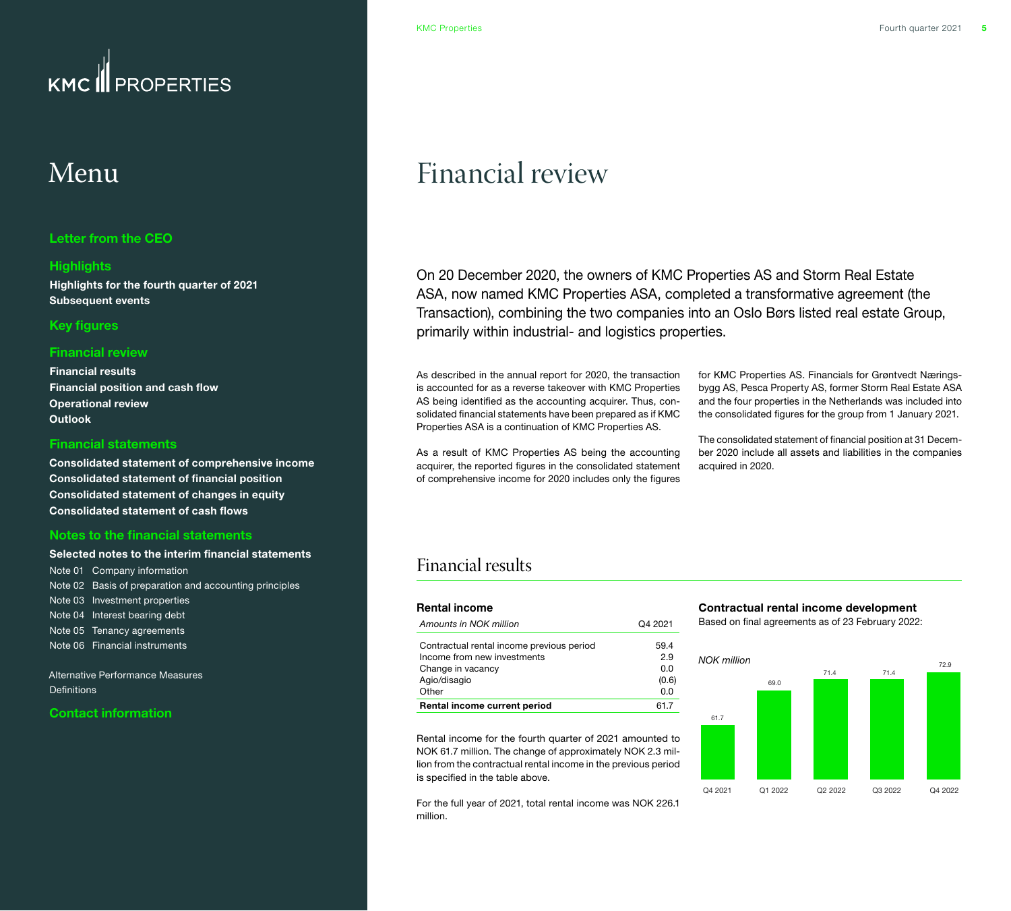### <span id="page-4-0"></span>**PROPERTIES**  $KMC$

## Menu

#### **[Letter from the CEO](#page-1-0)**

#### **[Highlights](#page-2-0)**

**[Highlights for the fourth quarter of 2021](#page-2-0) [Subsequent events](#page-2-0)**

#### **[Key figures](#page-3-0)**

#### **Financial review**

**Financial results [Financial position and cash flow](#page-5-0) [Operational review](#page-6-0) [Outlook](#page-10-0)**

#### **[Financial statements](#page-11-0)**

**[Consolidated statement of comprehensive income](#page-11-0) [Consolidated statement of financial position](#page-12-0) [Consolidated statement of changes in equity](#page-13-0) [Consolidated statement of cash flows](#page-14-0)**

#### **[Notes to the financial statements](#page-15-0)**

#### **[Selected notes to the interim financial statements](#page-15-0)** [Note 01 Company information](#page-15-0)

[Note 02 Basis of preparation and accounting principles](#page-15-0) [Note 03 Investment properties](#page-15-0) [Note 04 Interest bearing debt](#page-16-0) [Note 05 Tenancy agreements](#page-17-0) [Note 06 Financial instruments](#page-18-0) 

[Alternative Performance Measures](#page-19-0)  **Definitions** 

#### **[Contact information](#page-21-0)**

## Financial review

On 20 December 2020, the owners of KMC Properties AS and Storm Real Estate ASA, now named KMC Properties ASA, completed a transformative agreement (the Transaction), combining the two companies into an Oslo Børs listed real estate Group, primarily within industrial- and logistics properties.

As described in the annual report for 2020, the transaction is accounted for as a reverse takeover with KMC Properties AS being identified as the accounting acquirer. Thus, consolidated financial statements have been prepared as if KMC Properties ASA is a continuation of KMC Properties AS.

As a result of KMC Properties AS being the accounting acquirer, the reported figures in the consolidated statement of comprehensive income for 2020 includes only the figures

for KMC Properties AS. Financials for Grøntvedt Næringsbygg AS, Pesca Property AS, former Storm Real Estate ASA and the four properties in the Netherlands was included into the consolidated figures for the group from 1 January 2021.

The consolidated statement of financial position at 31 December 2020 include all assets and liabilities in the companies acquired in 2020.

### Financial results

| <b>Rental income</b>                      |         |
|-------------------------------------------|---------|
| Amounts in NOK million                    | Q4 2021 |
| Contractual rental income previous period | 59.4    |
| Income from new investments               | 2.9     |
| Change in vacancy                         | 0.0     |
| Agio/disagio                              | (0.6)   |
| Other                                     | 0.0     |
| <b>Rental income current period</b>       | 61.7    |

Rental income for the fourth quarter of 2021 amounted to NOK 61.7 million. The change of approximately NOK 2.3 million from the contractual rental income in the previous period is specified in the table above.

For the full year of 2021, total rental income was NOK 226.1 million.

### **Contractual rental income development**

Based on final agreements as of 23 February 2022:

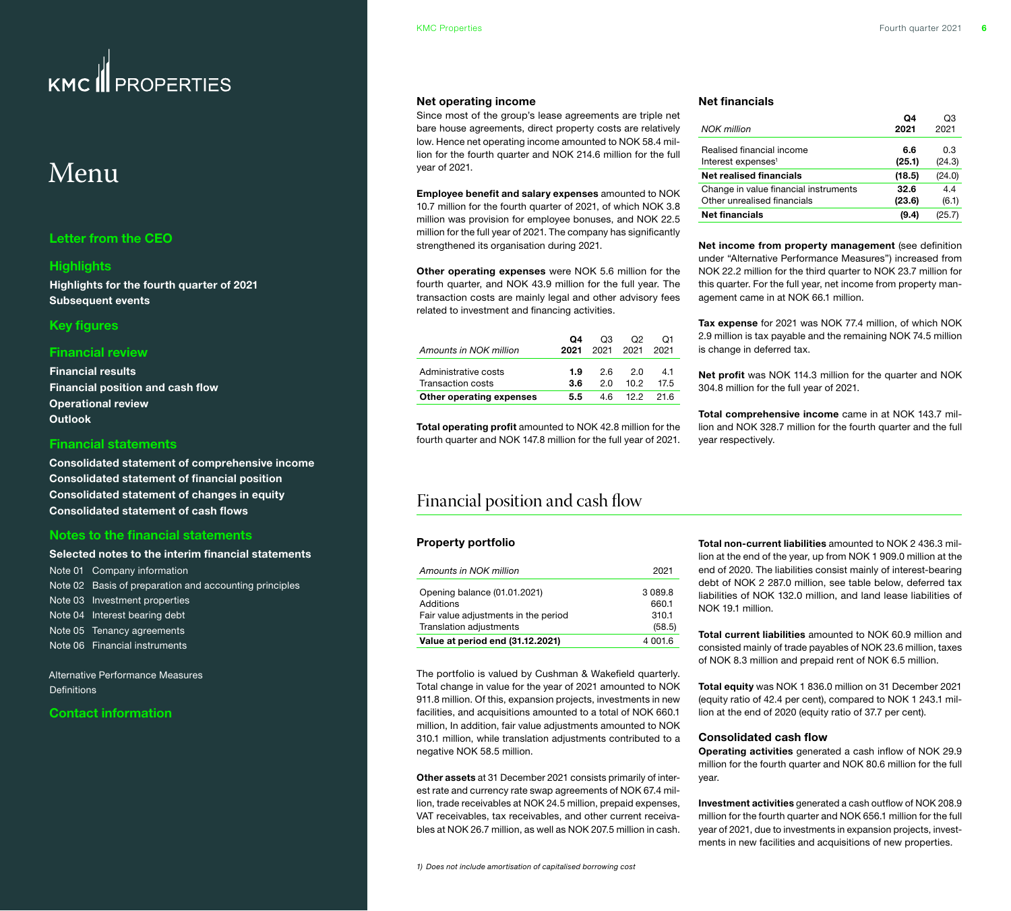## <span id="page-5-0"></span>Menu

#### **[Letter from the CEO](#page-1-0)**

#### **[Highlights](#page-2-0)**

**[Highlights for the fourth quarter of 2021](#page-2-0) [Subsequent events](#page-2-0)**

#### **[Key figures](#page-3-0)**

#### **[Financial review](#page-4-0)**

**[Financial results](#page-4-0) Financial position and cash flow [Operational review](#page-6-0) [Outlook](#page-10-0)**

#### **[Financial statements](#page-11-0)**

**[Consolidated statement of comprehensive income](#page-11-0) [Consolidated statement of financial position](#page-12-0) [Consolidated statement of changes in equity](#page-13-0) [Consolidated statement of cash flows](#page-14-0)**

#### **[Notes to the financial statements](#page-15-0)**

#### **[Selected notes to the interim financial statements](#page-15-0)**

[Note 01 Company information](#page-15-0)  [Note 02 Basis of preparation and accounting principles](#page-15-0) [Note 03 Investment properties](#page-15-0) [Note 04 Interest bearing debt](#page-16-0) [Note 05 Tenancy agreements](#page-17-0) [Note 06 Financial instruments](#page-18-0) 

[Alternative Performance Measures](#page-19-0)  **Definitions** 

#### **[Contact information](#page-21-0)**

#### **Net operating income**

Since most of the group's lease agreements are triple net bare house agreements, direct property costs are relatively low. Hence net operating income amounted to NOK 58.4 million for the fourth quarter and NOK 214.6 million for the full year of 2021.

**Employee benefit and salary expenses** amounted to NOK 10.7 million for the fourth quarter of 2021, of which NOK 3.8 million was provision for employee bonuses, and NOK 22.5 million for the full year of 2021. The company has significantly strengthened its organisation during 2021.

**Other operating expenses** were NOK 5.6 million for the fourth quarter, and NOK 43.9 million for the full year. The transaction costs are mainly legal and other advisory fees related to investment and financing activities.

| Amounts in NOK million   | Q4<br>2021 | O <sub>3</sub><br>2021 | O2<br>2021 2021 | O1   |
|--------------------------|------------|------------------------|-----------------|------|
| Administrative costs     | 1.9        | 26                     | 2 O             | 41   |
| Transaction costs        | 3.6        | 2 O                    | 10 2            | 17.5 |
| Other operating expenses | 5.5        | 46.                    | 12.2            | 21 R |

**Total operating profit** amounted to NOK 42.8 million for the fourth quarter and NOK 147.8 million for the full year of 2021.

### Financial position and cash flow

#### **Property portfolio**

| Amounts in NOK million                                                                                       | 2021                               |
|--------------------------------------------------------------------------------------------------------------|------------------------------------|
| Opening balance (01.01.2021)<br>Additions<br>Fair value adjustments in the period<br>Translation adjustments | 3089.8<br>660.1<br>310.1<br>(58.5) |
| Value at period end (31.12.2021)                                                                             | 4 001.6                            |

The portfolio is valued by Cushman & Wakefield quarterly. Total change in value for the year of 2021 amounted to NOK 911.8 million. Of this, expansion projects, investments in new facilities, and acquisitions amounted to a total of NOK 660.1 million, In addition, fair value adjustments amounted to NOK 310.1 million, while translation adjustments contributed to a negative NOK 58.5 million.

**Other assets** at 31 December 2021 consists primarily of interest rate and currency rate swap agreements of NOK 67.4 million, trade receivables at NOK 24.5 million, prepaid expenses, VAT receivables, tax receivables, and other current receivables at NOK 26.7 million, as well as NOK 207.5 million in cash.

#### *1) Does not include amortisation of capitalised borrowing cost*

#### **Net financials**

| NOK million                                                 | Ω4<br>2021    | OЗ<br>2021    |
|-------------------------------------------------------------|---------------|---------------|
| Realised financial income<br>Interest expenses <sup>1</sup> | 6.6<br>(25.1) | 0.3<br>(24.3) |
| <b>Net realised financials</b>                              | (18.5)        | (24.0)        |
| Change in value financial instruments                       | 32.6          | 4.4           |
| Other unrealised financials                                 | (23.6)        | (6.1)         |
| <b>Net financials</b>                                       | (9.4)         | (25.7)        |

**Net income from property management** (see definition under "Alternative Performance Measures") increased from NOK 22.2 million for the third quarter to NOK 23.7 million for this quarter. For the full year, net income from property management came in at NOK 66.1 million.

**Tax expense** for 2021 was NOK 77.4 million, of which NOK 2.9 million is tax payable and the remaining NOK 74.5 million is change in deferred tax.

**Net profit** was NOK 114.3 million for the quarter and NOK 304.8 million for the full year of 2021.

**Total comprehensive income** came in at NOK 143.7 million and NOK 328.7 million for the fourth quarter and the full year respectively.

**Total non-current liabilities** amounted to NOK 2 436.3 million at the end of the year, up from NOK 1 909.0 million at the end of 2020. The liabilities consist mainly of interest-bearing debt of NOK 2 287.0 million, see table below, deferred tax liabilities of NOK 132.0 million, and land lease liabilities of NOK 19.1 million.

**Total current liabilities** amounted to NOK 60.9 million and consisted mainly of trade payables of NOK 23.6 million, taxes of NOK 8.3 million and prepaid rent of NOK 6.5 million.

**Total equity** was NOK 1 836.0 million on 31 December 2021 (equity ratio of 42.4 per cent), compared to NOK 1 243.1 million at the end of 2020 (equity ratio of 37.7 per cent).

#### **Consolidated cash flow**

**Operating activities** generated a cash inflow of NOK 29.9 million for the fourth quarter and NOK 80.6 million for the full year.

**Investment activities** generated a cash outflow of NOK 208.9 million for the fourth quarter and NOK 656.1 million for the full year of 2021, due to investments in expansion projects, investments in new facilities and acquisitions of new properties.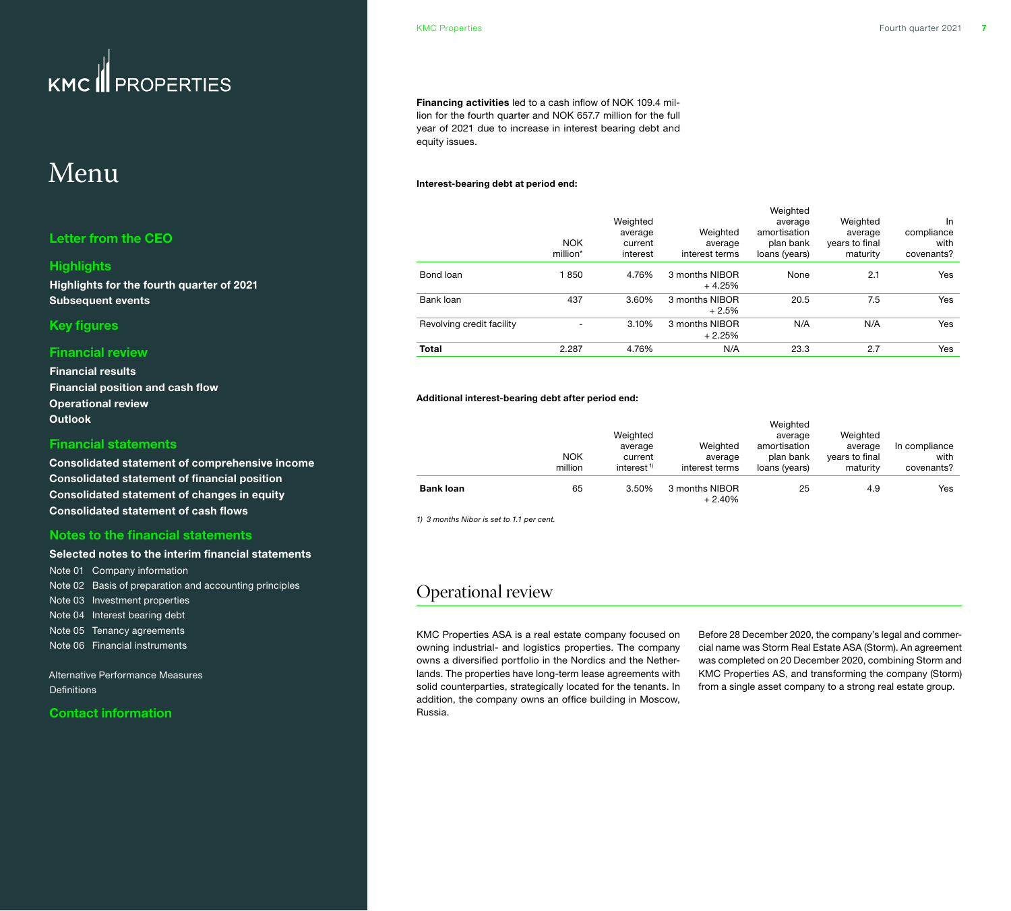## <span id="page-6-0"></span>Menu

#### **[Letter from the CEO](#page-1-0)**

#### **[Highlights](#page-2-0)**

**[Highlights for the fourth quarter of 2021](#page-2-0) [Subsequent events](#page-2-0)**

#### **[Key figures](#page-3-0)**

#### **[Financial review](#page-4-0)**

**[Financial results](#page-4-0) [Financial position and cash flow](#page-5-0) Operational review [Outlook](#page-10-0)**

#### **[Financial statements](#page-11-0)**

**[Consolidated statement of comprehensive income](#page-11-0) [Consolidated statement of financial position](#page-12-0) [Consolidated statement of changes in equity](#page-13-0) [Consolidated statement of cash flows](#page-14-0)**

#### **[Notes to the financial statements](#page-15-0)**

#### **[Selected notes to the interim financial statements](#page-15-0)**

[Note 01 Company information](#page-15-0)  [Note 02 Basis of preparation and accounting principles](#page-15-0) [Note 03 Investment properties](#page-15-0) [Note 04 Interest bearing debt](#page-16-0) [Note 05 Tenancy agreements](#page-17-0) [Note 06 Financial instruments](#page-18-0) 

[Alternative Performance Measures](#page-19-0)  **Definitions** 

#### **[Contact information](#page-21-0)**

**Financing activities** led to a cash inflow of NOK 109.4 million for the fourth quarter and NOK 657.7 million for the full year of 2021 due to increase in interest bearing debt and equity issues.

#### **Interest-bearing debt at period end:**

|                           |                          |                                            |                                       | Weighted                                              |                                                   |                                        |
|---------------------------|--------------------------|--------------------------------------------|---------------------------------------|-------------------------------------------------------|---------------------------------------------------|----------------------------------------|
|                           | <b>NOK</b><br>million*   | Weighted<br>average<br>current<br>interest | Weighted<br>average<br>interest terms | average<br>amortisation<br>plan bank<br>loans (years) | Weighted<br>average<br>years to final<br>maturity | In<br>compliance<br>with<br>covenants? |
| Bond loan                 | 1850                     | 4.76%                                      | 3 months NIBOR<br>$+4.25%$            | None                                                  | 2.1                                               | Yes                                    |
| Bank loan                 | 437                      | 3.60%                                      | 3 months NIBOR<br>$+2.5%$             | 20.5                                                  | 7.5                                               | Yes                                    |
| Revolving credit facility | $\overline{\phantom{0}}$ | 3.10%                                      | 3 months NIBOR<br>$+2.25%$            | N/A                                                   | N/A                                               | Yes                                    |
| <b>Total</b>              | 2.287                    | 4.76%                                      | N/A                                   | 23.3                                                  | 2.7                                               | <b>Yes</b>                             |

#### **Additional interest-bearing debt after period end:**

|                  | <b>NOK</b><br>million | Weighted<br>average<br>current<br>interest <sup><math>1</math></sup> | Weighted<br>average<br>interest terms | Weighted<br>average<br>amortisation<br>plan bank<br>loans (years) | Weighted<br>average<br>years to final<br>maturity | In compliance<br>with<br>covenants? |
|------------------|-----------------------|----------------------------------------------------------------------|---------------------------------------|-------------------------------------------------------------------|---------------------------------------------------|-------------------------------------|
| <b>Bank loan</b> | 65                    | 3.50%                                                                | 3 months NIBOR<br>$+2.40%$            | 25                                                                | 4.9                                               | Yes                                 |

*1) 3 months Nibor is set to 1.1 per cent.*

### Operational review

KMC Properties ASA is a real estate company focused on owning industrial- and logistics properties. The company owns a diversified portfolio in the Nordics and the Netherlands. The properties have long-term lease agreements with solid counterparties, strategically located for the tenants. In addition, the company owns an office building in Moscow, Russia.

Before 28 December 2020, the company's legal and commercial name was Storm Real Estate ASA (Storm). An agreement was completed on 20 December 2020, combining Storm and KMC Properties AS, and transforming the company (Storm) from a single asset company to a strong real estate group.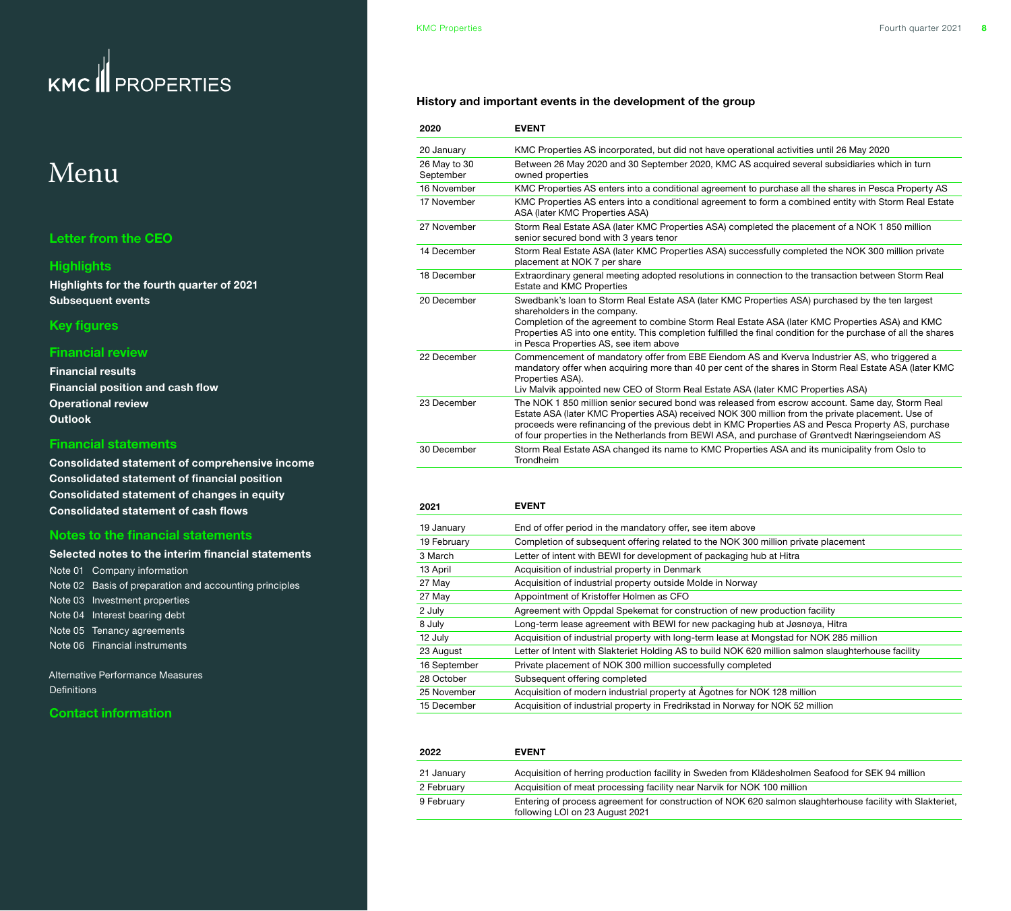## Menu

#### **[Letter from the CEO](#page-1-0)**

#### **[Highlights](#page-2-0)**

**[Highlights for the fourth quarter of 2021](#page-2-0) [Subsequent events](#page-2-0)**

#### **[Key figures](#page-3-0)**

#### **[Financial review](#page-4-0)**

**[Financial results](#page-4-0) [Financial position and cash flow](#page-5-0) [Operational review](#page-6-0) [Outlook](#page-10-0)**

#### **[Financial statements](#page-11-0)**

**[Consolidated statement of comprehensive income](#page-11-0) [Consolidated statement of financial position](#page-12-0) [Consolidated statement of changes in equity](#page-13-0) [Consolidated statement of cash flows](#page-14-0)**

#### **[Notes to the financial statements](#page-15-0)**

| Selected notes to the interim financial statements     |
|--------------------------------------------------------|
| Note 01 Company information                            |
| Note 02 Basis of preparation and accounting principles |
| Note 03 Investment properties                          |
| Note 04 Interest bearing debt                          |
| Note 05 Tenancy agreements                             |
| Note 06 Financial instruments                          |

[Alternative Performance Measures](#page-19-0)  [Definitions](#page-20-0) 

#### **[Contact information](#page-21-0)**

#### **History and important events in the development of the group**

| 2020                      | <b>EVENT</b>                                                                                                                                                                                                                                                                                                                                                                                                    |
|---------------------------|-----------------------------------------------------------------------------------------------------------------------------------------------------------------------------------------------------------------------------------------------------------------------------------------------------------------------------------------------------------------------------------------------------------------|
| 20 January                | KMC Properties AS incorporated, but did not have operational activities until 26 May 2020                                                                                                                                                                                                                                                                                                                       |
| 26 May to 30<br>September | Between 26 May 2020 and 30 September 2020, KMC AS acquired several subsidiaries which in turn<br>owned properties                                                                                                                                                                                                                                                                                               |
| 16 November               | KMC Properties AS enters into a conditional agreement to purchase all the shares in Pesca Property AS                                                                                                                                                                                                                                                                                                           |
| 17 November               | KMC Properties AS enters into a conditional agreement to form a combined entity with Storm Real Estate<br>ASA (later KMC Properties ASA)                                                                                                                                                                                                                                                                        |
| 27 November               | Storm Real Estate ASA (later KMC Properties ASA) completed the placement of a NOK 1 850 million<br>senior secured bond with 3 years tenor                                                                                                                                                                                                                                                                       |
| 14 December               | Storm Real Estate ASA (later KMC Properties ASA) successfully completed the NOK 300 million private<br>placement at NOK 7 per share                                                                                                                                                                                                                                                                             |
| 18 December               | Extraordinary general meeting adopted resolutions in connection to the transaction between Storm Real<br>Estate and KMC Properties                                                                                                                                                                                                                                                                              |
| 20 December               | Swedbank's loan to Storm Real Estate ASA (later KMC Properties ASA) purchased by the ten largest<br>shareholders in the company.<br>Completion of the agreement to combine Storm Real Estate ASA (later KMC Properties ASA) and KMC<br>Properties AS into one entity. This completion fulfilled the final condition for the purchase of all the shares<br>in Pesca Properties AS, see item above                |
| 22 December               | Commencement of mandatory offer from EBE Eiendom AS and Kverva Industrier AS, who triggered a<br>mandatory offer when acquiring more than 40 per cent of the shares in Storm Real Estate ASA (later KMC<br>Properties ASA).<br>Liv Malvik appointed new CEO of Storm Real Estate ASA (later KMC Properties ASA)                                                                                                 |
| 23 December               | The NOK 1850 million senior secured bond was released from escrow account. Same day, Storm Real<br>Estate ASA (later KMC Properties ASA) received NOK 300 million from the private placement. Use of<br>proceeds were refinancing of the previous debt in KMC Properties AS and Pesca Property AS, purchase<br>of four properties in the Netherlands from BEWI ASA, and purchase of Grøntvedt Næringseiendom AS |
| 30 December               | Storm Real Estate ASA changed its name to KMC Properties ASA and its municipality from Oslo to<br>Trondheim                                                                                                                                                                                                                                                                                                     |

| 2021         | <b>EVENT</b>                                                                                        |
|--------------|-----------------------------------------------------------------------------------------------------|
| 19 January   | End of offer period in the mandatory offer, see item above                                          |
| 19 February  | Completion of subsequent offering related to the NOK 300 million private placement                  |
| 3 March      | Letter of intent with BEWI for development of packaging hub at Hitra                                |
| 13 April     | Acquisition of industrial property in Denmark                                                       |
| 27 May       | Acquisition of industrial property outside Molde in Norway                                          |
| 27 May       | Appointment of Kristoffer Holmen as CFO                                                             |
| 2 July       | Agreement with Oppdal Spekemat for construction of new production facility                          |
| 8 July       | Long-term lease agreement with BEWI for new packaging hub at Jøsnøya, Hitra                         |
| 12 July      | Acquisition of industrial property with long-term lease at Mongstad for NOK 285 million             |
| 23 August    | Letter of Intent with Slakteriet Holding AS to build NOK 620 million salmon slaughterhouse facility |
| 16 September | Private placement of NOK 300 million successfully completed                                         |
| 28 October   | Subsequent offering completed                                                                       |
| 25 November  | Acquisition of modern industrial property at Agotnes for NOK 128 million                            |
| 15 December  | Acquisition of industrial property in Fredrikstad in Norway for NOK 52 million                      |
|              |                                                                                                     |

| 2022       | <b>EVENT</b>                                                                                                                                 |
|------------|----------------------------------------------------------------------------------------------------------------------------------------------|
| 21 January | Acquisition of herring production facility in Sweden from Klädesholmen Seafood for SEK 94 million                                            |
| 2 February | Acquisition of meat processing facility near Narvik for NOK 100 million                                                                      |
| 9 February | Entering of process agreement for construction of NOK 620 salmon slaughterhouse facility with Slakteriet,<br>following LOI on 23 August 2021 |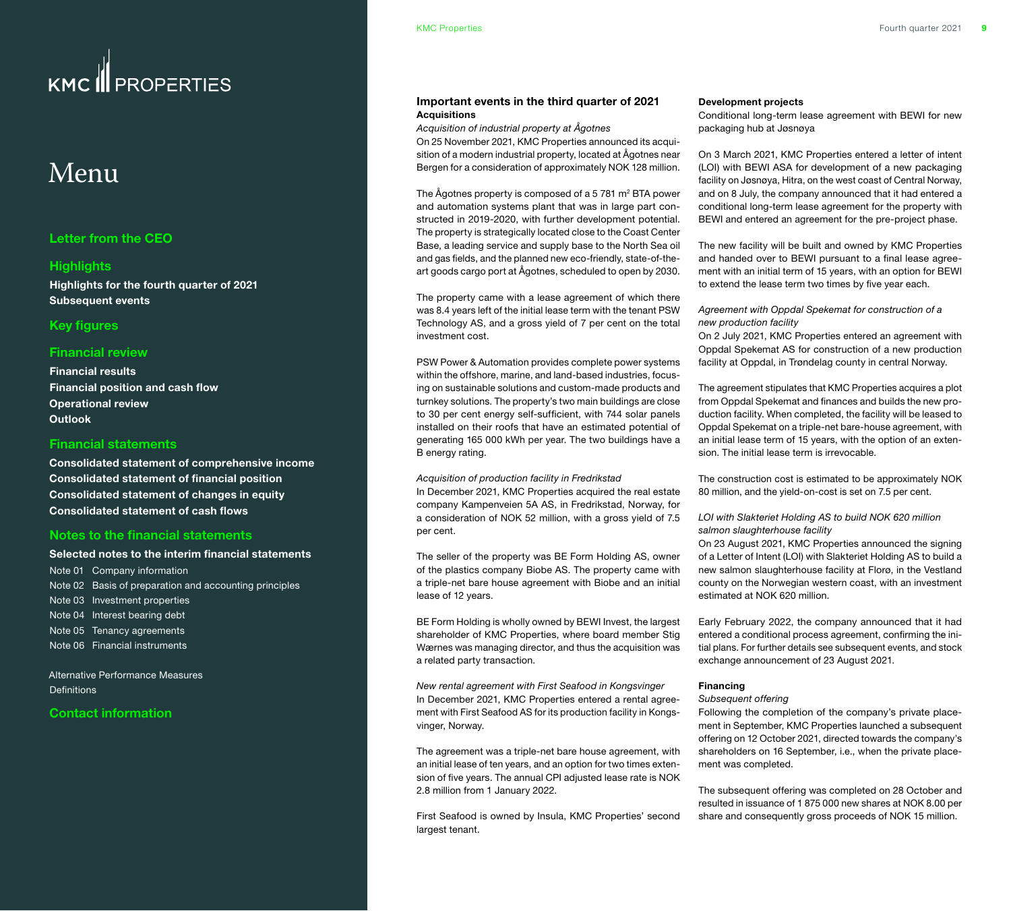## Menu

#### **[Letter from the CEO](#page-1-0)**

#### **[Highlights](#page-2-0)**

**[Highlights for the fourth quarter of 2021](#page-2-0) [Subsequent events](#page-2-0)**

#### **[Key figures](#page-3-0)**

#### **[Financial review](#page-4-0)**

**[Financial results](#page-4-0) [Financial position and cash flow](#page-5-0) [Operational review](#page-6-0) [Outlook](#page-10-0)**

#### **[Financial statements](#page-11-0)**

**[Consolidated statement of comprehensive income](#page-11-0) [Consolidated statement of financial position](#page-12-0) [Consolidated statement of changes in equity](#page-13-0) [Consolidated statement of cash flows](#page-14-0)**

#### **[Notes to the financial statements](#page-15-0)**

#### **[Selected notes to the interim financial statements](#page-15-0)**

[Note 01 Company information](#page-15-0)  [Note 02 Basis of preparation and accounting principles](#page-15-0) [Note 03 Investment properties](#page-15-0) [Note 04 Interest bearing debt](#page-16-0) [Note 05 Tenancy agreements](#page-17-0) [Note 06 Financial instruments](#page-18-0) 

[Alternative Performance Measures](#page-19-0)  **Definitions** 

#### **[Contact information](#page-21-0)**

#### **Important events in the third quarter of 2021 Acquisitions**

*Acquisition of industrial property at Ågotnes*

On 25 November 2021, KMC Properties announced its acquisition of a modern industrial property, located at Ågotnes near Bergen for a consideration of approximately NOK 128 million.

The  $\check{\mathsf{A}}$ gotnes property is composed of a 5 781 m<sup>2</sup> BTA power and automation systems plant that was in large part constructed in 2019-2020, with further development potential. The property is strategically located close to the Coast Center Base, a leading service and supply base to the North Sea oil and gas fields, and the planned new eco-friendly, state-of-theart goods cargo port at Ågotnes, scheduled to open by 2030.

The property came with a lease agreement of which there was 8.4 years left of the initial lease term with the tenant PSW Technology AS, and a gross yield of 7 per cent on the total investment cost.

PSW Power & Automation provides complete power systems within the offshore, marine, and land-based industries, focusing on sustainable solutions and custom-made products and turnkey solutions. The property's two main buildings are close to 30 per cent energy self-sufficient, with 744 solar panels installed on their roofs that have an estimated potential of generating 165 000 kWh per year. The two buildings have a B energy rating.

#### *Acquisition of production facility in Fredrikstad*

In December 2021, KMC Properties acquired the real estate company Kampenveien 5A AS, in Fredrikstad, Norway, for a consideration of NOK 52 million, with a gross yield of 7.5 per cent.

The seller of the property was BE Form Holding AS, owner of the plastics company Biobe AS. The property came with a triple-net bare house agreement with Biobe and an initial lease of 12 years.

BE Form Holding is wholly owned by BEWI Invest, the largest shareholder of KMC Properties, where board member Stig Wærnes was managing director, and thus the acquisition was a related party transaction.

*New rental agreement with First Seafood in Kongsvinger* In December 2021, KMC Properties entered a rental agreement with First Seafood AS for its production facility in Kongsvinger, Norway.

The agreement was a triple-net bare house agreement, with an initial lease of ten years, and an option for two times extension of five years. The annual CPI adjusted lease rate is NOK 2.8 million from 1 January 2022.

First Seafood is owned by Insula, KMC Properties' second largest tenant.

#### **Development projects**

Conditional long-term lease agreement with BEWI for new packaging hub at Jøsnøya

On 3 March 2021, KMC Properties entered a letter of intent (LOI) with BEWI ASA for development of a new packaging facility on Jøsnøya, Hitra, on the west coast of Central Norway, and on 8 July, the company announced that it had entered a conditional long-term lease agreement for the property with BEWI and entered an agreement for the pre-project phase.

The new facility will be built and owned by KMC Properties and handed over to BEWI pursuant to a final lease agreement with an initial term of 15 years, with an option for BEWI to extend the lease term two times by five year each.

#### *Agreement with Oppdal Spekemat for construction of a new production facility*

On 2 July 2021, KMC Properties entered an agreement with Oppdal Spekemat AS for construction of a new production facility at Oppdal, in Trøndelag county in central Norway.

The agreement stipulates that KMC Properties acquires a plot from Oppdal Spekemat and finances and builds the new production facility. When completed, the facility will be leased to Oppdal Spekemat on a triple-net bare-house agreement, with an initial lease term of 15 years, with the option of an extension. The initial lease term is irrevocable.

The construction cost is estimated to be approximately NOK 80 million, and the yield-on-cost is set on 7.5 per cent.

#### *LOI with Slakteriet Holding AS to build NOK 620 million salmon slaughterhouse facility*

On 23 August 2021, KMC Properties announced the signing of a Letter of Intent (LOI) with Slakteriet Holding AS to build a new salmon slaughterhouse facility at Florø, in the Vestland county on the Norwegian western coast, with an investment estimated at NOK 620 million.

Early February 2022, the company announced that it had entered a conditional process agreement, confirming the initial plans. For further details see subsequent events, and stock exchange announcement of 23 August 2021.

#### **Financing**

#### *Subsequent offering*

Following the completion of the company's private placement in September, KMC Properties launched a subsequent offering on 12 October 2021, directed towards the company's shareholders on 16 September, i.e., when the private placement was completed.

The subsequent offering was completed on 28 October and resulted in issuance of 1 875 000 new shares at NOK 8.00 per share and consequently gross proceeds of NOK 15 million.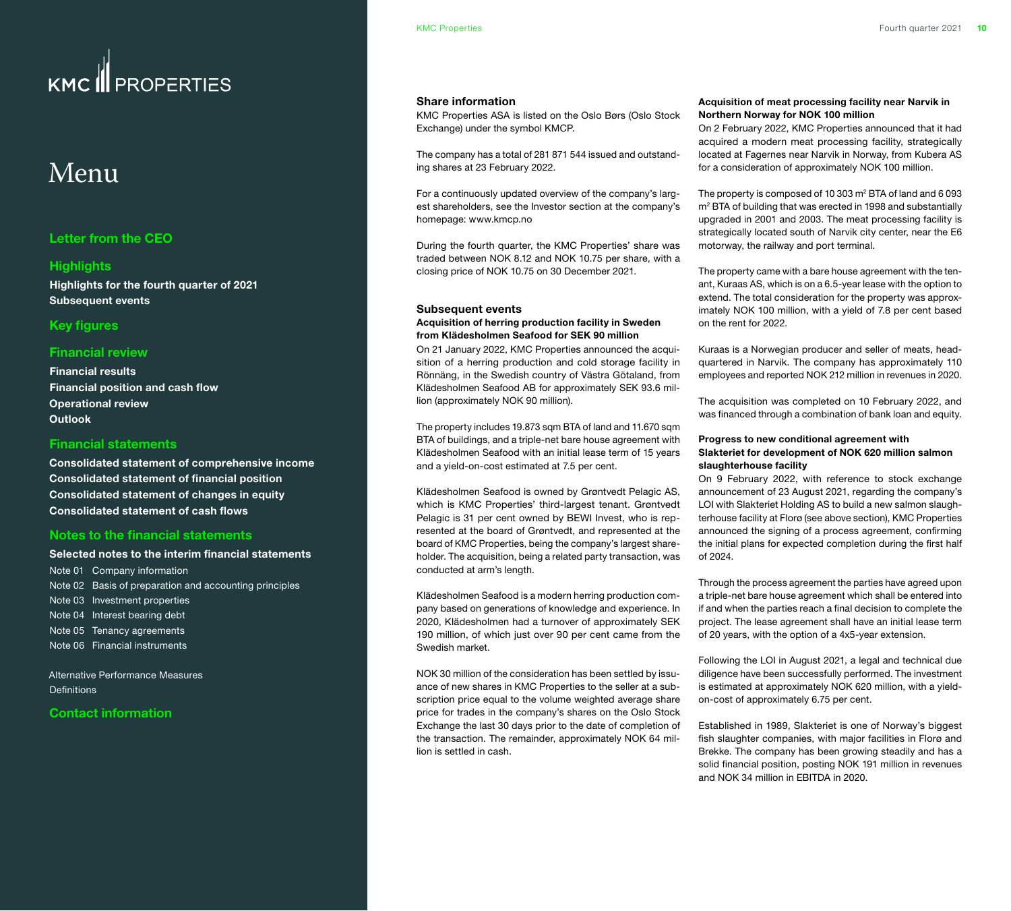## Menu

#### **[Letter from the CEO](#page-1-0)**

#### **[Highlights](#page-2-0)**

**[Highlights for the fourth quarter of 2021](#page-2-0) [Subsequent events](#page-2-0)**

#### **[Key figures](#page-3-0)**

#### **[Financial review](#page-4-0)**

**[Financial results](#page-4-0) [Financial position and cash flow](#page-5-0) [Operational review](#page-6-0) [Outlook](#page-10-0)**

#### **[Financial statements](#page-11-0)**

**[Consolidated statement of comprehensive income](#page-11-0) [Consolidated statement of financial position](#page-12-0) [Consolidated statement of changes in equity](#page-13-0) [Consolidated statement of cash flows](#page-14-0)**

#### **[Notes to the financial statements](#page-15-0)**

#### **[Selected notes to the interim financial statements](#page-15-0)**

[Note 01 Company information](#page-15-0)  [Note 02 Basis of preparation and accounting principles](#page-15-0) [Note 03 Investment properties](#page-15-0) [Note 04 Interest bearing debt](#page-16-0) [Note 05 Tenancy agreements](#page-17-0) [Note 06 Financial instruments](#page-18-0) 

[Alternative Performance Measures](#page-19-0)  **Definitions** 

#### **[Contact information](#page-21-0)**

#### **Share information**

KMC Properties ASA is listed on the Oslo Børs (Oslo Stock Exchange) under the symbol KMCP.

The company has a total of 281 871 544 issued and outstanding shares at 23 February 2022.

For a continuously updated overview of the company's largest shareholders, see the Investor section at the company's homepage: www.kmcp.no

During the fourth quarter, the KMC Properties' share was traded between NOK 8.12 and NOK 10.75 per share, with a closing price of NOK 10.75 on 30 December 2021.

#### **Subsequent events**

#### **Acquisition of herring production facility in Sweden from Klädesholmen Seafood for SEK 90 million**

On 21 January 2022, KMC Properties announced the acquisition of a herring production and cold storage facility in Rönnäng, in the Swedish country of Västra Götaland, from Klädesholmen Seafood AB for approximately SEK 93.6 million (approximately NOK 90 million).

The property includes 19.873 sqm BTA of land and 11.670 sqm BTA of buildings, and a triple-net bare house agreement with Klädesholmen Seafood with an initial lease term of 15 years and a yield-on-cost estimated at 7.5 per cent.

Klädesholmen Seafood is owned by Grøntvedt Pelagic AS, which is KMC Properties' third-largest tenant. Grøntvedt Pelagic is 31 per cent owned by BEWI Invest, who is represented at the board of Grøntvedt, and represented at the board of KMC Properties, being the company's largest shareholder. The acquisition, being a related party transaction, was conducted at arm's length.

Klädesholmen Seafood is a modern herring production company based on generations of knowledge and experience. In 2020, Klädesholmen had a turnover of approximately SEK 190 million, of which just over 90 per cent came from the Swedish market.

NOK 30 million of the consideration has been settled by issuance of new shares in KMC Properties to the seller at a subscription price equal to the volume weighted average share price for trades in the company's shares on the Oslo Stock Exchange the last 30 days prior to the date of completion of the transaction. The remainder, approximately NOK 64 million is settled in cash.

#### **Acquisition of meat processing facility near Narvik in Northern Norway for NOK 100 million**

On 2 February 2022, KMC Properties announced that it had acquired a modern meat processing facility, strategically located at Fagernes near Narvik in Norway, from Kubera AS for a consideration of approximately NOK 100 million.

The property is composed of 10 303  $m<sup>2</sup>$  BTA of land and 6 093 m<sup>2</sup> BTA of building that was erected in 1998 and substantially upgraded in 2001 and 2003. The meat processing facility is strategically located south of Narvik city center, near the E6 motorway, the railway and port terminal.

The property came with a bare house agreement with the tenant, Kuraas AS, which is on a 6.5-year lease with the option to extend. The total consideration for the property was approximately NOK 100 million, with a yield of 7.8 per cent based on the rent for 2022.

Kuraas is a Norwegian producer and seller of meats, headquartered in Narvik. The company has approximately 110 employees and reported NOK 212 million in revenues in 2020.

The acquisition was completed on 10 February 2022, and was financed through a combination of bank loan and equity.

#### **Progress to new conditional agreement with Slakteriet for development of NOK 620 million salmon slaughterhouse facility**

On 9 February 2022, with reference to stock exchange announcement of 23 August 2021, regarding the company's LOI with Slakteriet Holding AS to build a new salmon slaughterhouse facility at Florø (see above section), KMC Properties announced the signing of a process agreement, confirming the initial plans for expected completion during the first half of 2024.

Through the process agreement the parties have agreed upon a triple-net bare house agreement which shall be entered into if and when the parties reach a final decision to complete the project. The lease agreement shall have an initial lease term of 20 years, with the option of a 4x5-year extension.

Following the LOI in August 2021, a legal and technical due diligence have been successfully performed. The investment is estimated at approximately NOK 620 million, with a yieldon-cost of approximately 6.75 per cent.

Established in 1989, Slakteriet is one of Norway's biggest fish slaughter companies, with major facilities in Florø and Brekke. The company has been growing steadily and has a solid financial position, posting NOK 191 million in revenues and NOK 34 million in EBITDA in 2020.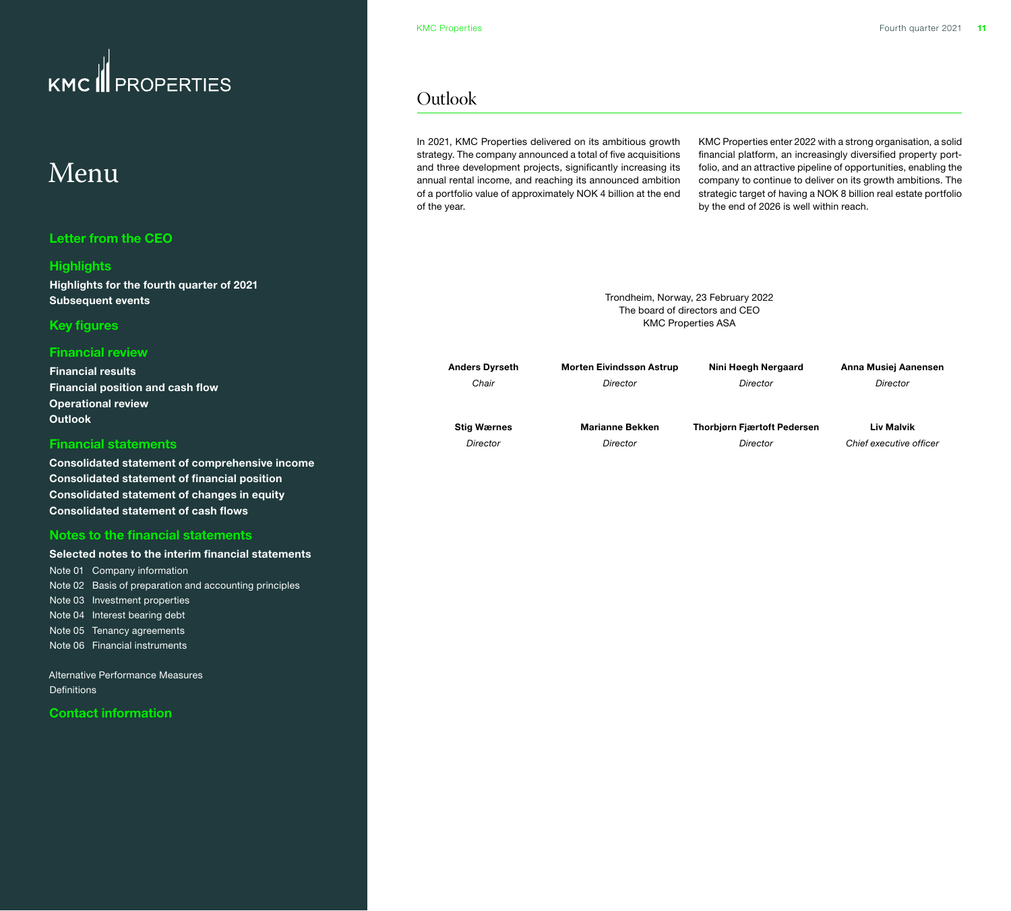## <span id="page-10-0"></span>Menu

#### **[Letter from the CEO](#page-1-0)**

#### **[Highlights](#page-2-0)**

**[Highlights for the fourth quarter of 2021](#page-2-0) [Subsequent events](#page-2-0)**

#### **[Key figures](#page-3-0)**

#### **[Financial review](#page-4-0)**

**[Financial results](#page-4-0) [Financial position and cash flow](#page-5-0) [Operational review](#page-6-0) Outlook**

#### **[Financial statements](#page-11-0)**

**[Consolidated statement of comprehensive income](#page-11-0) [Consolidated statement of financial position](#page-12-0) [Consolidated statement of changes in equity](#page-13-0) [Consolidated statement of cash flows](#page-14-0)**

#### **[Notes to the financial statements](#page-15-0)**

**[Selected notes to the interim financial statements](#page-15-0)** [Note 01 Company information](#page-15-0)  [Note 02 Basis of preparation and accounting principles](#page-15-0) [Note 03 Investment properties](#page-15-0) [Note 04 Interest bearing debt](#page-16-0) [Note 05 Tenancy agreements](#page-17-0) [Note 06 Financial instruments](#page-18-0) 

[Alternative Performance Measures](#page-19-0)  **Definitions** 

**[Contact information](#page-21-0)**

### **Outlook**

In 2021, KMC Properties delivered on its ambitious growth strategy. The company announced a total of five acquisitions and three development projects, significantly increasing its annual rental income, and reaching its announced ambition of a portfolio value of approximately NOK 4 billion at the end of the year.

KMC Properties enter 2022 with a strong organisation, a solid financial platform, an increasingly diversified property portfolio, and an attractive pipeline of opportunities, enabling the company to continue to deliver on its growth ambitions. The strategic target of having a NOK 8 billion real estate portfolio by the end of 2026 is well within reach.

Trondheim, Norway, 23 February 2022 The board of directors and CEO KMC Properties ASA

| <b>Anders Dyrseth</b> | <b>Morten Eivindssøn Astrup</b> | Nini Høegh Nergaard                | Anna Musiej Aanensen    |
|-----------------------|---------------------------------|------------------------------------|-------------------------|
| Chair                 | Director                        | Director                           | Director                |
|                       |                                 |                                    |                         |
| <b>Stig Wærnes</b>    | <b>Marianne Bekken</b>          | <b>Thorbigrn Fiærtoft Pedersen</b> | Liv Malvik              |
| Director              | Director                        | Director                           | Chief executive officer |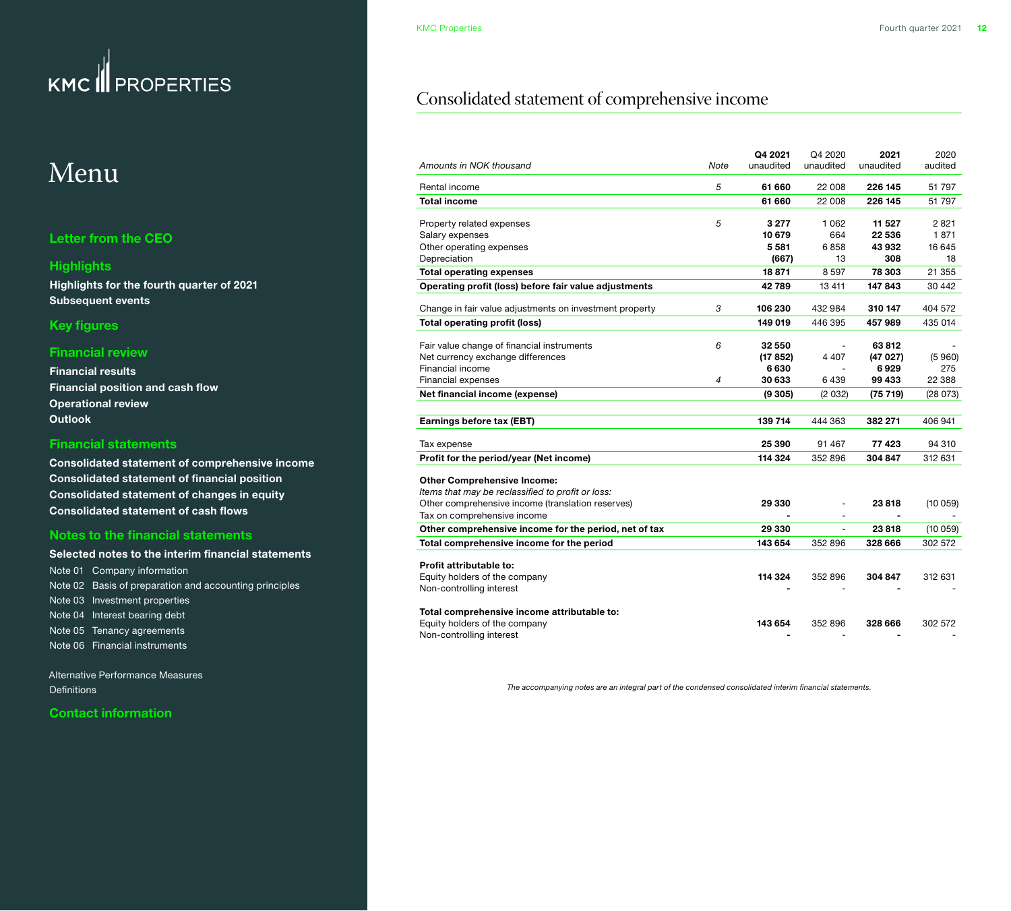## <span id="page-11-0"></span>Menu

#### **[Letter from the CEO](#page-1-0)**

#### **[Highlights](#page-2-0)**

**[Highlights for the fourth quarter of 2021](#page-2-0) [Subsequent events](#page-2-0)**

#### **[Key figures](#page-3-0)**

#### **[Financial review](#page-4-0)**

**[Financial results](#page-4-0) [Financial position and cash flow](#page-5-0) [Operational review](#page-6-0) [Outlook](#page-10-0)**

#### **Financial statements**

**Consolidated statement of comprehensive income [Consolidated statement of financial position](#page-12-0) [Consolidated statement of changes in equity](#page-13-0) [Consolidated statement of cash flows](#page-14-0)**

#### **[Notes to the financial statements](#page-15-0)**

| Selected notes to the interim financial statements     |
|--------------------------------------------------------|
| Note 01 Company information                            |
| Note 02 Basis of preparation and accounting principles |
| Note 03 Investment properties                          |
| Note 04 Interest bearing debt                          |
| Note 05 Tenancy agreements                             |
| Note 06 Financial instruments                          |

[Alternative Performance Measures](#page-19-0)  [Definitions](#page-20-0) 

**[Contact information](#page-21-0)**

### Consolidated statement of comprehensive income

|                                                         |      | Q4 2021   | Q4 2020   | 2021      | 2020     |
|---------------------------------------------------------|------|-----------|-----------|-----------|----------|
| Amounts in NOK thousand                                 | Note | unaudited | unaudited | unaudited | audited  |
| Rental income                                           | 5    | 61 660    | 22 008    | 226 145   | 51 797   |
| Total income                                            |      | 61 660    | 22 008    | 226 145   | 51 797   |
| Property related expenses                               | 5    | 3 277     | 1 0 6 2   | 11 527    | 2821     |
| Salary expenses                                         |      | 10 679    | 664       | 22 536    | 1871     |
| Other operating expenses                                |      | 5581      | 6858      | 43 932    | 16 645   |
| Depreciation                                            |      | (667)     | 13        | 308       | 18       |
| <b>Total operating expenses</b>                         |      | 18871     | 8 5 9 7   | 78 303    | 21 355   |
| Operating profit (loss) before fair value adjustments   |      | 42789     | 13 411    | 147843    | 30 442   |
| Change in fair value adjustments on investment property | 3    | 106 230   | 432 984   | 310 147   | 404 572  |
| <b>Total operating profit (loss)</b>                    |      | 149 019   | 446 395   | 457989    | 435 014  |
|                                                         |      |           |           |           |          |
| Fair value change of financial instruments              | 6    | 32 550    |           | 63812     |          |
| Net currency exchange differences                       |      | (17 852)  | 4 4 0 7   | (47027)   | (5960)   |
| Financial income                                        |      | 6630      |           | 6929      | 275      |
| <b>Financial expenses</b>                               | 4    | 30 633    | 6439      | 99 433    | 22 388   |
| Net financial income (expense)                          |      | (9305)    | (2032)    | (75 719)  | (28 073) |
|                                                         |      |           |           |           |          |
| Earnings before tax (EBT)                               |      | 139 714   | 444 363   | 382 271   | 406 941  |
| Tax expense                                             |      | 25 390    | 91 467    | 77423     | 94 310   |
| Profit for the period/year (Net income)                 |      | 114 324   | 352 896   | 304 847   | 312 631  |
| <b>Other Comprehensive Income:</b>                      |      |           |           |           |          |
| Items that may be reclassified to profit or loss:       |      |           |           |           |          |
| Other comprehensive income (translation reserves)       |      | 29 330    |           | 23818     | (10059)  |
| Tax on comprehensive income                             |      |           |           |           |          |
| Other comprehensive income for the period, net of tax   |      | 29 330    |           | 23818     | (10059)  |
| Total comprehensive income for the period               |      | 143 654   | 352 896   | 328 666   | 302 572  |
|                                                         |      |           |           |           |          |
| Profit attributable to:                                 |      |           |           |           |          |
| Equity holders of the company                           |      | 114 324   | 352 896   | 304 847   | 312 631  |
| Non-controlling interest                                |      |           |           |           |          |
| Total comprehensive income attributable to:             |      |           |           |           |          |
| Equity holders of the company                           |      | 143 654   | 352 896   | 328 666   | 302 572  |
| Non-controlling interest                                |      |           |           | ۰         |          |

*The accompanying notes are an integral part of the condensed consolidated interim financial statements.*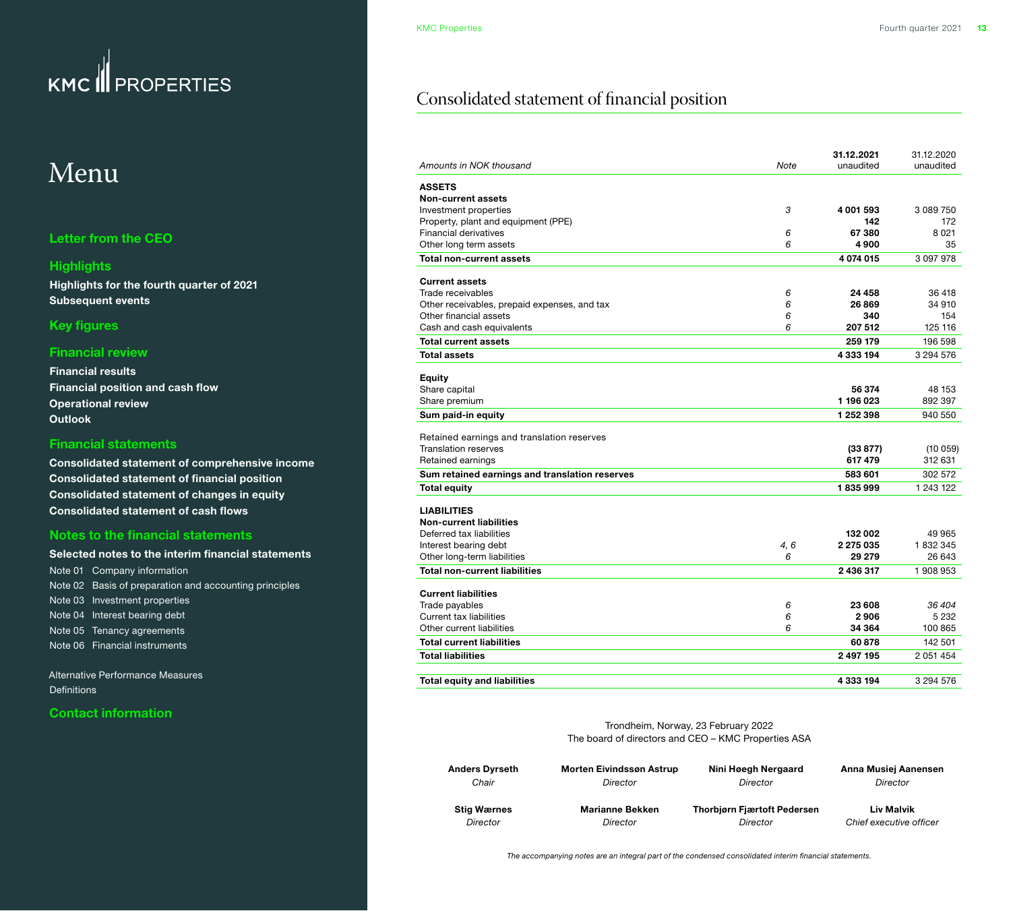## <span id="page-12-0"></span>Menu

#### **[Letter from the CEO](#page-1-0)**

#### **[Highlights](#page-2-0)**

**[Highlights for the fourth quarter of 2021](#page-2-0) [Subsequent events](#page-2-0)**

#### **[Key figures](#page-3-0)**

#### **[Financial review](#page-4-0)**

**[Financial results](#page-4-0) [Financial position and cash flow](#page-5-0) [Operational review](#page-6-0) [Outlook](#page-10-0)**

#### **[Financial statements](#page-11-0)**

**[Consolidated statement of comprehensive income](#page-11-0) Consolidated statement of financial position [Consolidated statement of changes in equity](#page-13-0) [Consolidated statement of cash flows](#page-14-0)**

#### **[Notes to the financial statements](#page-15-0)**

**[Selected notes to the interim financial statements](#page-15-0)** [Note 01 Company information](#page-15-0)  [Note 02 Basis of preparation and accounting principles](#page-15-0) [Note 03 Investment properties](#page-15-0) [Note 04 Interest bearing debt](#page-16-0) [Note 05 Tenancy agreements](#page-17-0) [Note 06 Financial instruments](#page-18-0) 

[Alternative Performance Measures](#page-19-0)  **Definitions** 

#### **[Contact information](#page-21-0)**

### Consolidated statement of financial position

| Amounts in NOK thousand                        | Note | 31.12.2021<br>unaudited | 31.12.2020<br>unaudited |
|------------------------------------------------|------|-------------------------|-------------------------|
| <b>ASSETS</b>                                  |      |                         |                         |
| <b>Non-current assets</b>                      |      |                         |                         |
| Investment properties                          | 3    | 4 001 593               | 3 089 750               |
| Property, plant and equipment (PPE)            |      | 142                     | 172                     |
| <b>Financial derivatives</b>                   | 6    | 67 380                  | 8021                    |
| Other long term assets                         | 6    | 4900                    | 35                      |
| <b>Total non-current assets</b>                |      | 4074015                 | 3 0 9 7 9 7 8           |
| <b>Current assets</b>                          |      |                         |                         |
| Trade receivables                              | 6    | 24 458                  | 36 418                  |
| Other receivables, prepaid expenses, and tax   | 6    | 26 869                  | 34 910                  |
| Other financial assets                         | 6    | 340                     | 154                     |
| Cash and cash equivalents                      | 6    | 207 512                 | 125 116                 |
| <b>Total current assets</b>                    |      | 259 179                 | 196 598                 |
| <b>Total assets</b>                            |      | 4 333 194               | 3 294 576               |
| <b>Equity</b>                                  |      |                         |                         |
| Share capital                                  |      | 56 374                  | 48 153                  |
| Share premium                                  |      | 1 196 023               | 892 397                 |
| Sum paid-in equity                             |      | 1 252 398               | 940 550                 |
|                                                |      |                         |                         |
| Retained earnings and translation reserves     |      |                         |                         |
| <b>Translation reserves</b>                    |      | (33 877)                | (10059)                 |
| Retained earnings                              |      | 617479                  | 312 631                 |
| Sum retained earnings and translation reserves |      | 583 601                 | 302 572                 |
| <b>Total equity</b>                            |      | 1835999                 | 1 243 122               |
| <b>LIABILITIES</b>                             |      |                         |                         |
| <b>Non-current liabilities</b>                 |      |                         |                         |
| Deferred tax liabilities                       |      | 132 002                 | 49 965                  |
| Interest bearing debt                          | 4, 6 | 2 275 035               | 1832345                 |
| Other long-term liabilities                    | 6    | 29 279                  | 26 643                  |
| <b>Total non-current liabilities</b>           |      | 2 436 317               | 1908953                 |
| <b>Current liabilities</b>                     |      |                         |                         |
| Trade payables                                 | 6    | 23 608                  | 36 404                  |
| Current tax liabilities                        | 6    | 2906                    | 5 2 3 2                 |
| Other current liabilities                      | 6    | 34 364                  | 100 865                 |
| <b>Total current liabilities</b>               |      | 60878                   | 142 501                 |
| <b>Total liabilities</b>                       |      | 2 497 195               | 2 051 454               |
| <b>Total equity and liabilities</b>            |      | 4 333 194               | 3 294 576               |

Trondheim, Norway, 23 February 2022 The board of directors and CEO – KMC Properties ASA

| <b>Anders Dyrseth</b> | <b>Morten Eivindssøn Astrup</b> | Nini Høegh Nergaard                | Anna Musiej Aanensen    |
|-----------------------|---------------------------------|------------------------------------|-------------------------|
| Chair                 | Director                        | Director                           | Director                |
| <b>Stig Wærnes</b>    | <b>Marianne Bekken</b>          | <b>Thorbiørn Fiærtoft Pedersen</b> | Liv Malvik              |
| Director              | Director                        | Director                           | Chief executive officer |

*The accompanying notes are an integral part of the condensed consolidated interim financial statements.*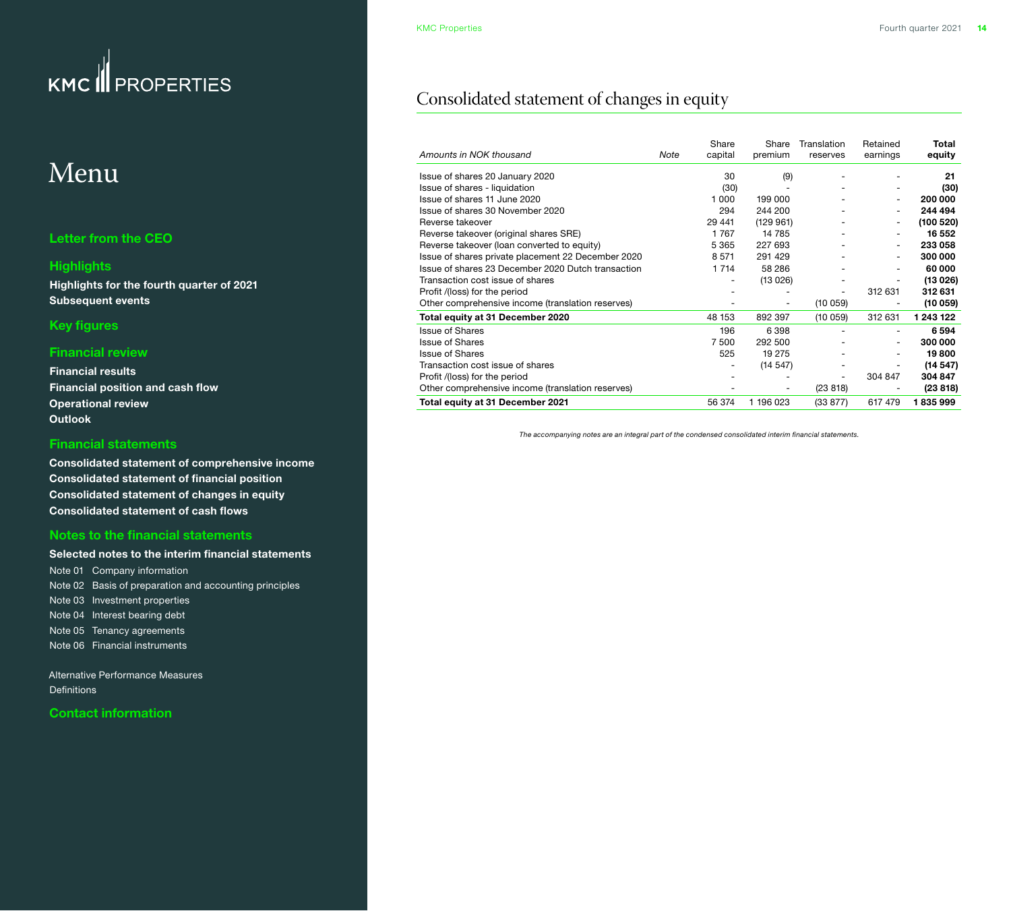## <span id="page-13-0"></span>Menu

#### **[Letter from the CEO](#page-1-0)**

#### **[Highlights](#page-2-0)**

**[Highlights for the fourth quarter of 2021](#page-2-0) [Subsequent events](#page-2-0)**

#### **[Key figures](#page-3-0)**

#### **[Financial review](#page-4-0)**

**[Financial results](#page-4-0) [Financial position and cash flow](#page-5-0) [Operational review](#page-6-0) [Outlook](#page-10-0)**

#### **[Financial statements](#page-11-0)**

**[Consolidated statement of comprehensive income](#page-11-0) [Consolidated statement of financial position](#page-12-0) Consolidated statement of changes in equity [Consolidated statement of cash flows](#page-14-0)**

#### **[Notes to the financial statements](#page-15-0)**

**[Selected notes to the interim financial statements](#page-15-0)** [Note 01 Company information](#page-15-0)  [Note 02 Basis of preparation and accounting principles](#page-15-0) [Note 03 Investment properties](#page-15-0) [Note 04 Interest bearing debt](#page-16-0) [Note 05 Tenancy agreements](#page-17-0) [Note 06 Financial instruments](#page-18-0) 

[Alternative Performance Measures](#page-19-0)  **Definitions** 

**[Contact information](#page-21-0)**

### Consolidated statement of changes in equity

| Amounts in NOK thousand                            | Note | Share<br>capital | Share<br>premium | Translation<br>reserves | Retained<br>earnings | Total<br>equity |
|----------------------------------------------------|------|------------------|------------------|-------------------------|----------------------|-----------------|
| Issue of shares 20 January 2020                    |      | 30               | (9)              |                         |                      | 21              |
| Issue of shares - liquidation                      |      | (30)             |                  |                         |                      | (30)            |
| Issue of shares 11 June 2020                       |      | 1000             | 199 000          |                         |                      | 200 000         |
| Issue of shares 30 November 2020                   |      | 294              | 244 200          |                         |                      | 244 494         |
| Reverse takeover                                   |      | 29 441           | (129961)         |                         |                      | (100520)        |
| Reverse takeover (original shares SRE)             |      | 1767             | 14 785           |                         |                      | 16 552          |
| Reverse takeover (loan converted to equity)        |      | 5 3 6 5          | 227 693          |                         |                      | 233 058         |
| Issue of shares private placement 22 December 2020 |      | 8571             | 291 429          |                         |                      | 300 000         |
| Issue of shares 23 December 2020 Dutch transaction |      | 1 7 1 4          | 58 286           |                         |                      | 60 000          |
| Transaction cost issue of shares                   |      |                  | (13026)          |                         |                      | (13026)         |
| Profit /(loss) for the period                      |      |                  |                  |                         | 312 631              | 312 631         |
| Other comprehensive income (translation reserves)  |      |                  |                  | (10059)                 |                      | (10059)         |
| Total equity at 31 December 2020                   |      | 48 153           | 892 397          | (10059)                 | 312 631              | 1 243 122       |
| <b>Issue of Shares</b>                             |      | 196              | 6398             |                         |                      | 6594            |
| <b>Issue of Shares</b>                             |      | 7 500            | 292 500          |                         |                      | 300 000         |
| <b>Issue of Shares</b>                             |      | 525              | 19 275           |                         |                      | 19800           |
| Transaction cost issue of shares                   |      |                  | (14547)          |                         |                      | (14547)         |
| Profit /(loss) for the period                      |      |                  |                  |                         | 304 847              | 304 847         |
| Other comprehensive income (translation reserves)  |      |                  |                  | (23 818)                |                      | (23 818)        |
| Total equity at 31 December 2021                   |      | 56 374           | 1 196 023        | (33 877)                | 617 479              | 1835999         |

*The accompanying notes are an integral part of the condensed consolidated interim financial statements.*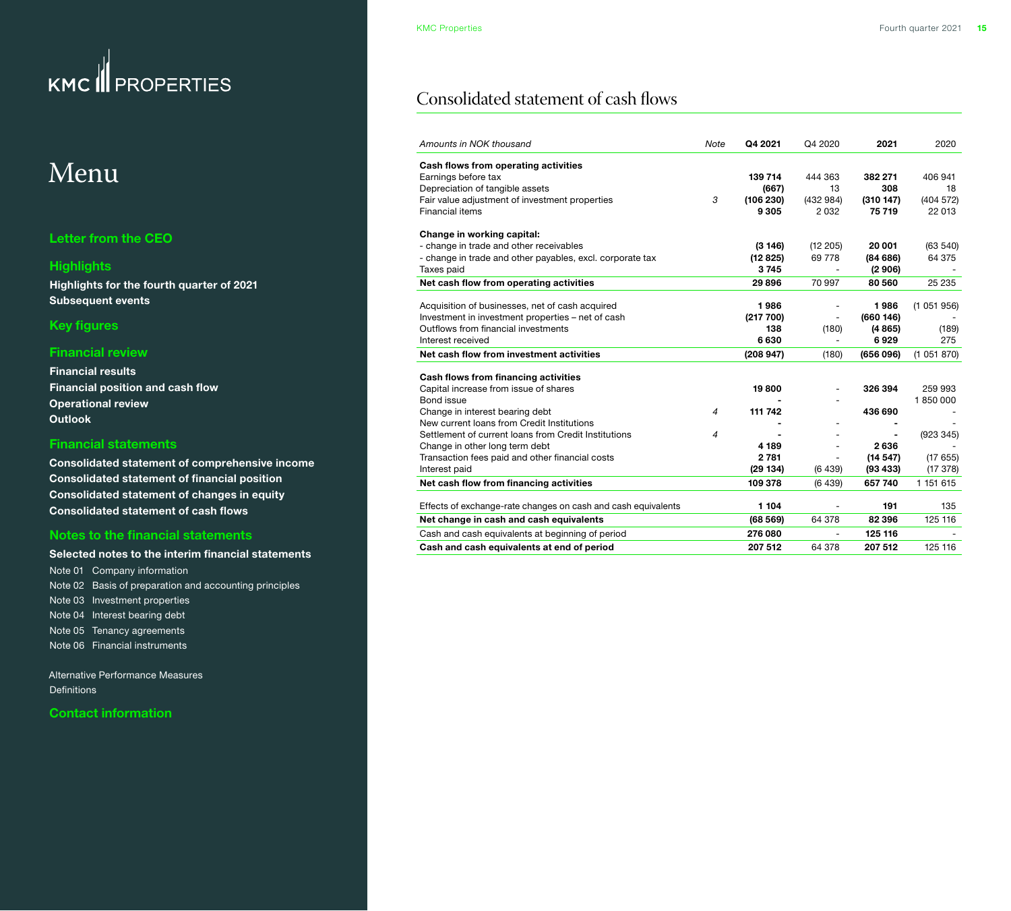## <span id="page-14-0"></span>Menu

#### **[Letter from the CEO](#page-1-0)**

#### **[Highlights](#page-2-0)**

**[Highlights for the fourth quarter of 2021](#page-2-0) [Subsequent events](#page-2-0)**

#### **[Key figures](#page-3-0)**

#### **[Financial review](#page-4-0)**

**[Financial results](#page-4-0) [Financial position and cash flow](#page-5-0) [Operational review](#page-6-0) [Outlook](#page-10-0)**

#### **[Financial statements](#page-11-0)**

**[Consolidated statement of comprehensive income](#page-11-0) [Consolidated statement of financial position](#page-12-0) [Consolidated statement of changes in equity](#page-13-0) Consolidated statement of cash flows**

#### **[Notes to the financial statements](#page-15-0)**

**[Selected notes to the interim financial statements](#page-15-0)** [Note 01 Company information](#page-15-0)  [Note 02 Basis of preparation and accounting principles](#page-15-0) [Note 03 Investment properties](#page-15-0) [Note 04 Interest bearing debt](#page-16-0) [Note 05 Tenancy agreements](#page-17-0) [Note 06 Financial instruments](#page-18-0) 

[Alternative Performance Measures](#page-19-0)  [Definitions](#page-20-0) 

**[Contact information](#page-21-0)**

### Consolidated statement of cash flows

| Amounts in NOK thousand                                       | Note           | Q4 2021   | Q4 2020                  | 2021      | 2020      |
|---------------------------------------------------------------|----------------|-----------|--------------------------|-----------|-----------|
| Cash flows from operating activities                          |                |           |                          |           |           |
| Earnings before tax                                           |                | 139 714   | 444 363                  | 382 271   | 406 941   |
| Depreciation of tangible assets                               |                | (667)     | 13                       | 308       | 18        |
| Fair value adjustment of investment properties                | 3              | (106 230) | (432984)                 | (310147)  | (404572)  |
| Financial items                                               |                | 9 3 0 5   | 2032                     | 75 719    | 22 013    |
| Change in working capital:                                    |                |           |                          |           |           |
| - change in trade and other receivables                       |                | (3146)    | (12 205)                 | 20 001    | (63 540)  |
| - change in trade and other payables, excl. corporate tax     |                | (12825)   | 69 778                   | (84686)   | 64 375    |
| Taxes paid                                                    |                | 3745      |                          | (2906)    |           |
| Net cash flow from operating activities                       |                | 29896     | 70 997                   | 80 560    | 25 235    |
| Acquisition of businesses, net of cash acquired               |                | 1986      |                          | 1986      | (1051956) |
| Investment in investment properties - net of cash             |                | (217 700) | $\overline{a}$           | (660146)  |           |
| Outflows from financial investments                           |                | 138       | (180)                    | (4865)    | (189)     |
| Interest received                                             |                | 6630      |                          | 6929      | 275       |
| Net cash flow from investment activities                      |                | (208947)  | (180)                    | (656096)  | (1051870) |
|                                                               |                |           |                          |           |           |
| Cash flows from financing activities                          |                |           |                          |           |           |
| Capital increase from issue of shares                         |                | 19800     |                          | 326 394   | 259 993   |
| Bond issue                                                    |                |           |                          |           | 1850000   |
| Change in interest bearing debt                               | $\overline{4}$ | 111 742   |                          | 436 690   |           |
| New current loans from Credit Institutions                    |                |           |                          |           |           |
| Settlement of current loans from Credit Institutions          | 4              |           |                          |           | (923 345) |
| Change in other long term debt                                |                | 4 189     |                          | 2636      |           |
| Transaction fees paid and other financial costs               |                | 2 7 8 1   |                          | (14547)   | (17655)   |
| Interest paid                                                 |                | (29134)   | (6439)                   | (93, 433) | (17378)   |
| Net cash flow from financing activities                       |                | 109 378   | (6439)                   | 657 740   | 1 151 615 |
| Effects of exchange-rate changes on cash and cash equivalents |                | 1 104     |                          | 191       | 135       |
| Net change in cash and cash equivalents                       |                | (68569)   | 64 378                   | 82 396    | 125 116   |
| Cash and cash equivalents at beginning of period              |                | 276 080   | $\overline{\phantom{0}}$ | 125 116   |           |
| Cash and cash equivalents at end of period                    |                | 207 512   | 64 378                   | 207 512   | 125 116   |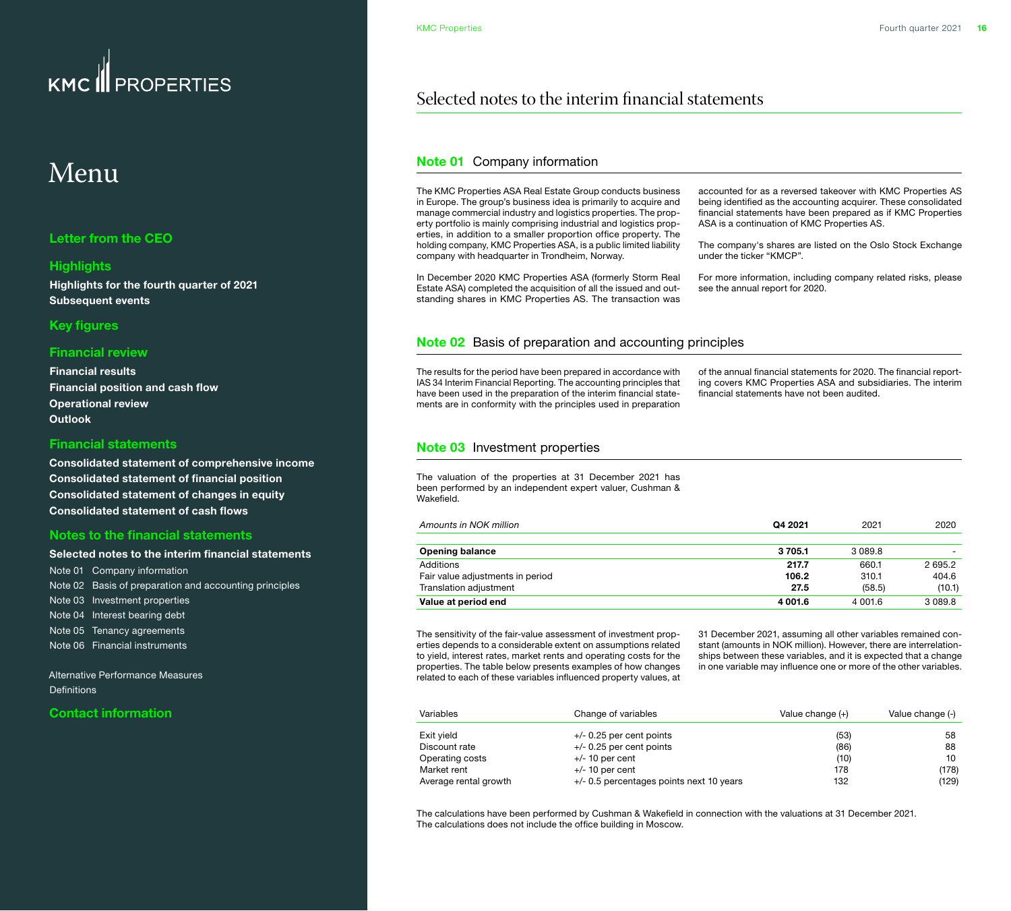### <span id="page-15-0"></span>FROPERTIES **KMC**

## Menu

#### **[Letter from the CEO](#page-1-0)**

#### **[Highlights](#page-2-0)**

**[Highlights for the fourth quarter of 2021](#page-2-0) [Subsequent events](#page-2-0)**

#### **[Key figures](#page-3-0)**

#### **[Financial review](#page-4-0)**

**[Financial results](#page-4-0) [Financial position and cash flow](#page-5-0) [Operational review](#page-6-0) [Outlook](#page-10-0)**

#### **[Financial statements](#page-11-0)**

**[Consolidated statement of comprehensive income](#page-11-0) [Consolidated statement of financial position](#page-12-0) [Consolidated statement of changes in equity](#page-13-0) [Consolidated statement of cash flows](#page-14-0)**

#### **Notes to the financial statements**

#### **Selected notes to the interim financial statements**

Note 01 Company information Note 02 Basis of preparation and accounting principles Note 03 Investment properties [Note 04 Interest bearing debt](#page-16-0) [Note 05 Tenancy agreements](#page-17-0) [Note 06 Financial instruments](#page-18-0) 

[Alternative Performance Measures](#page-19-0)  **Definitions** 

#### **[Contact information](#page-21-0)**

### Selected notes to the interim financial statements

#### **Note 01** Company information

The KMC Properties ASA Real Estate Group conducts business in Europe. The group's business idea is primarily to acquire and manage commercial industry and logistics properties. The property portfolio is mainly comprising industrial and logistics properties, in addition to a smaller proportion office property. The holding company, KMC Properties ASA, is a public limited liability company with headquarter in Trondheim, Norway.

In December 2020 KMC Properties ASA (formerly Storm Real Estate ASA) completed the acquisition of all the issued and outstanding shares in KMC Properties AS. The transaction was accounted for as a reversed takeover with KMC Properties AS being identified as the accounting acquirer. These consolidated financial statements have been prepared as if KMC Properties ASA is a continuation of KMC Properties AS.

The company's shares are listed on the Oslo Stock Exchange under the ticker "KMCP".

For more information, including company related risks, please see the annual report for 2020.

#### **Note 02** Basis of preparation and accounting principles

The results for the period have been prepared in accordance with IAS 34 Interim Financial Reporting. The accounting principles that have been used in the preparation of the interim financial statements are in conformity with the principles used in preparation of the annual financial statements for 2020. The financial reporting covers KMC Properties ASA and subsidiaries. The interim financial statements have not been audited.

#### **Note 03** Investment properties

The valuation of the properties at 31 December 2021 has been performed by an independent expert valuer, Cushman & Wakefield.

| Amounts in NOK million           | Q4 2021 | 2021    | 2020      |
|----------------------------------|---------|---------|-----------|
|                                  |         |         |           |
| <b>Opening balance</b>           | 3 705.1 | 3089.8  |           |
| Additions                        | 217.7   | 660.1   | 2695.2    |
| Fair value adjustments in period | 106.2   | 310.1   | 404.6     |
| Translation adjustment           | 27.5    | (58.5)  | (10.1)    |
| Value at period end              | 4 001.6 | 4 001.6 | 3 0 8 9.8 |

The sensitivity of the fair-value assessment of investment properties depends to a considerable extent on assumptions related to yield, interest rates, market rents and operating costs for the properties. The table below presents examples of how changes related to each of these variables influenced property values, at

31 December 2021, assuming all other variables remained constant (amounts in NOK million). However, there are interrelationships between these variables, and it is expected that a change in one variable may influence one or more of the other variables.

| Variables             | Change of variables                      | Value change (+) | Value change (-) |
|-----------------------|------------------------------------------|------------------|------------------|
| Exit yield            | $+/-$ 0.25 per cent points               | (53)             | 58               |
| Discount rate         | $+/-$ 0.25 per cent points               | (86)             | 88               |
| Operating costs       | $+/-$ 10 per cent                        | (10)             | 10               |
| Market rent           | $+/-$ 10 per cent                        | 178              | (178)            |
| Average rental growth | +/- 0.5 percentages points next 10 years | 132              | (129)            |

The calculations have been performed by Cushman & Wakefield in connection with the valuations at 31 December 2021. The calculations does not include the office building in Moscow.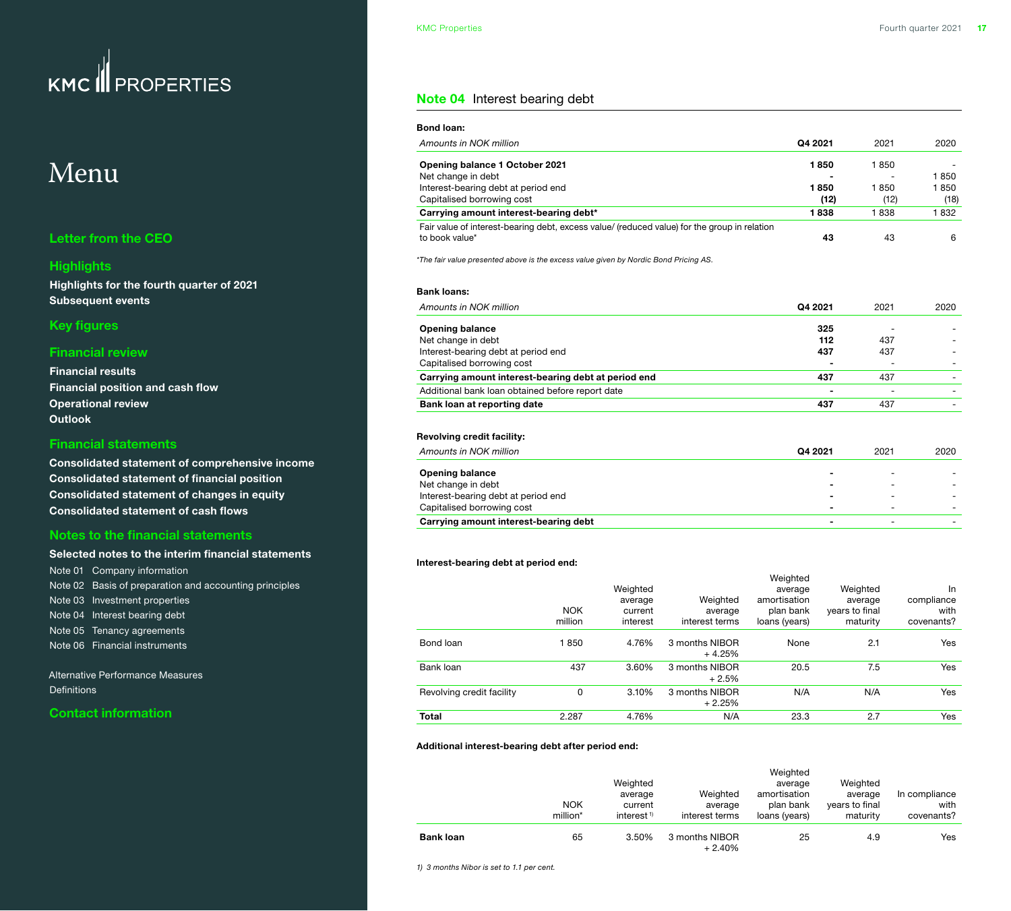## <span id="page-16-0"></span>Menu

#### **[Letter from the CEO](#page-1-0)**

#### **[Highlights](#page-2-0)**

**[Highlights for the fourth quarter of 2021](#page-2-0) [Subsequent events](#page-2-0)**

#### **[Key figures](#page-3-0)**

#### **[Financial review](#page-4-0)**

| <b>Financial results</b>                |
|-----------------------------------------|
| <b>Financial position and cash flow</b> |
| <b>Operational review</b>               |
| <b>Outlook</b>                          |

#### **[Financial statements](#page-11-0)**

**[Consolidated statement of comprehensive income](#page-11-0) [Consolidated statement of financial position](#page-12-0) [Consolidated statement of changes in equity](#page-13-0) [Consolidated statement of cash flows](#page-14-0)**

#### **[Notes to the financial statements](#page-15-0)**

#### **[Selected notes to the interim financial statements](#page-15-0)** [Note 01 Company information](#page-15-0)  [Note 02 Basis of preparation and accounting principles](#page-15-0) [Note 03 Investment properties](#page-15-0) Note 04 Interest bearing debt [Note 05 Tenancy agreements](#page-17-0)

[Note 06 Financial instruments](#page-18-0) 

[Alternative Performance Measures](#page-19-0)  [Definitions](#page-20-0) 

#### **[Contact information](#page-21-0)**

#### **Note 04** Interest bearing debt

| Amounts in NOK million                                                                       | Q4 2021 | 2021                     | 2020 |
|----------------------------------------------------------------------------------------------|---------|--------------------------|------|
| <b>Opening balance 1 October 2021</b>                                                        | 1850    | 1850                     |      |
| Net change in debt                                                                           |         |                          | 1850 |
| Interest-bearing debt at period end                                                          | 1850    | 1850                     | 1850 |
| Capitalised borrowing cost                                                                   | (12)    | (12)                     | (18) |
| Carrying amount interest-bearing debt*                                                       | 1838    | 1838                     | 1832 |
| Fair value of interest-bearing debt, excess value/ (reduced value) for the group in relation |         |                          |      |
| to book value*                                                                               | 43      | 43                       | 6    |
| *The fair value presented above is the excess value given by Nordic Bond Pricing AS.         |         |                          |      |
| <b>Bank loans:</b><br>Amounts in NOK million                                                 | Q4 2021 | 2021                     | 2020 |
|                                                                                              | 325     |                          |      |
| <b>Opening balance</b><br>Net change in debt                                                 | 112     | 437                      |      |
| Interest-bearing debt at period end                                                          | 437     | 437                      |      |
| Capitalised borrowing cost                                                                   |         |                          |      |
| Carrying amount interest-bearing debt at period end                                          | 437     | 437                      |      |
| Additional bank loan obtained before report date                                             | ۰       | $\overline{\phantom{0}}$ |      |

#### **Revolving credit facility:**

| Amounts in NOK million                | Q4 2021 | 2021                     | 2020 |
|---------------------------------------|---------|--------------------------|------|
| <b>Opening balance</b>                | -       | ۰                        |      |
| Net change in debt                    | -       | ۰                        |      |
| Interest-bearing debt at period end   | -       | -                        |      |
| Capitalised borrowing cost            | -       | $\overline{\phantom{0}}$ |      |
| Carrying amount interest-bearing debt | ۰       | $\overline{\phantom{0}}$ |      |

#### **Interest-bearing debt at period end:**

|                           | <b>NOK</b><br>million | Weighted<br>average<br>current<br>interest | Weighted<br>average<br>interest terms | Weighted<br>average<br>amortisation<br>plan bank<br>loans (years) | Weighted<br>average<br>years to final<br>maturity | In<br>compliance<br>with<br>covenants? |
|---------------------------|-----------------------|--------------------------------------------|---------------------------------------|-------------------------------------------------------------------|---------------------------------------------------|----------------------------------------|
| Bond loan                 | 1850                  | 4.76%                                      | 3 months NIBOR<br>$+4.25%$            | None                                                              | 2.1                                               | Yes                                    |
| Bank loan                 | 437                   | 3.60%                                      | 3 months NIBOR<br>$+2.5%$             | 20.5                                                              | 7.5                                               | Yes                                    |
| Revolving credit facility | 0                     | 3.10%                                      | 3 months NIBOR<br>$+2.25%$            | N/A                                                               | N/A                                               | Yes                                    |
| <b>Total</b>              | 2.287                 | 4.76%                                      | N/A                                   | 23.3                                                              | 2.7                                               | Yes                                    |

#### **Additional interest-bearing debt after period end:**

|                  | <b>NOK</b><br>million* | Weighted<br>average<br>current<br>interest <sup><math>1</math></sup> | Weighted<br>average<br>interest terms | Weighted<br>average<br>amortisation<br>plan bank<br>loans (years) | Weighted<br>average<br>years to final<br>maturity | In compliance<br>with<br>covenants? |
|------------------|------------------------|----------------------------------------------------------------------|---------------------------------------|-------------------------------------------------------------------|---------------------------------------------------|-------------------------------------|
| <b>Bank loan</b> | 65                     | 3.50%                                                                | 3 months NIBOR<br>$+2.40%$            | 25                                                                | 4.9                                               | Yes                                 |

*1) 3 months Nibor is set to 1.1 per cent.*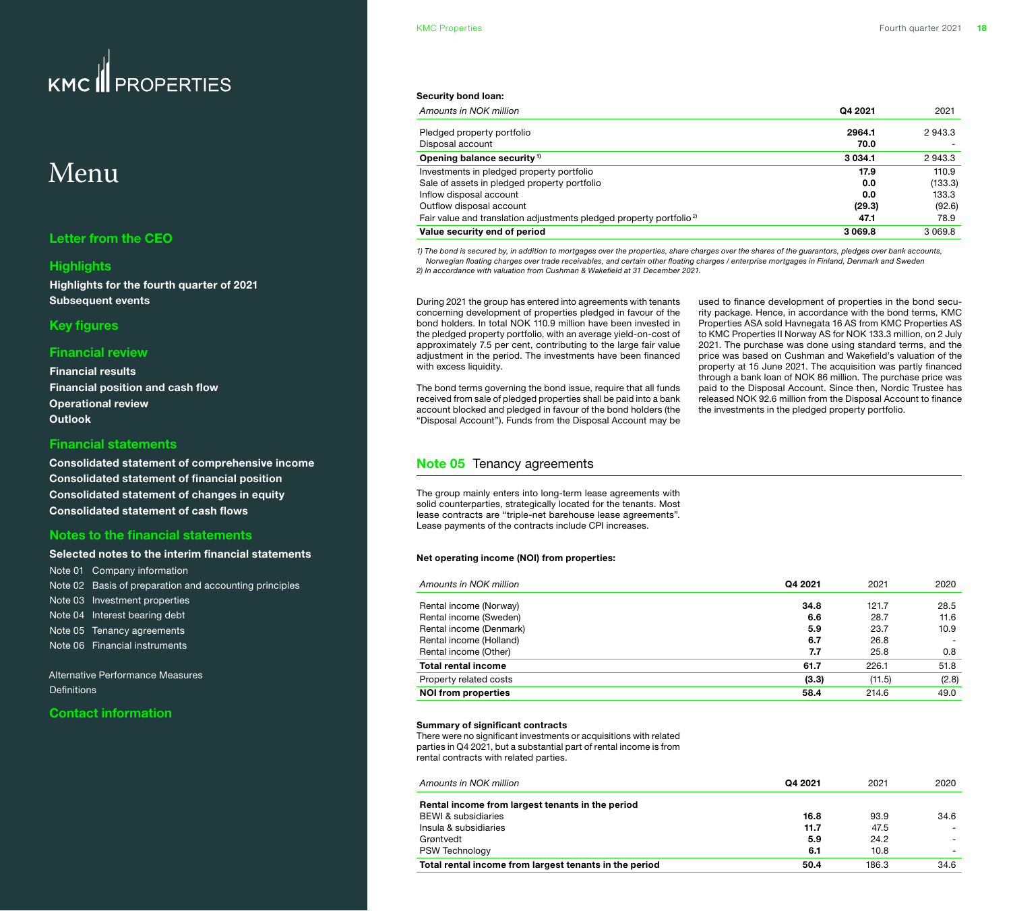## <span id="page-17-0"></span>Menu

#### **[Letter from the CEO](#page-1-0)**

#### **[Highlights](#page-2-0)**

**[Highlights for the fourth quarter of 2021](#page-2-0) [Subsequent events](#page-2-0)**

#### **[Key figures](#page-3-0)**

#### **[Financial review](#page-4-0)**

**[Financial results](#page-4-0) [Financial position and cash flow](#page-5-0) [Operational review](#page-6-0) [Outlook](#page-10-0)**

#### **[Financial statements](#page-11-0)**

**[Consolidated statement of comprehensive income](#page-11-0) [Consolidated statement of financial position](#page-12-0) [Consolidated statement of changes in equity](#page-13-0) [Consolidated statement of cash flows](#page-14-0)**

#### **[Notes to the financial statements](#page-15-0)**

#### **[Selected notes to the interim financial statements](#page-15-0)**

[Note 01 Company information](#page-15-0)  [Note 02 Basis of preparation and accounting principles](#page-15-0) [Note 03 Investment properties](#page-15-0) [Note 04 Interest bearing debt](#page-16-0) Note 05 Tenancy agreements [Note 06 Financial instruments](#page-18-0) 

[Alternative Performance Measures](#page-19-0)  **Definitions** 

#### **[Contact information](#page-21-0)**

#### **Security bond loan:**

| Q4 2021<br>Amounts in NOK million                                                       | 2021        |
|-----------------------------------------------------------------------------------------|-------------|
| 2964.1<br>Pledged property portfolio<br>Disposal account<br>70.0                        | 2943.3      |
| Opening balance security <sup>1)</sup><br>3 0 3 4 .1                                    | 2943.3      |
| Investments in pledged property portfolio<br>17.9                                       | 110.9       |
| Sale of assets in pledged property portfolio<br>0.0                                     | (133.3)     |
| Inflow disposal account<br>0.0                                                          | 133.3       |
| Outflow disposal account<br>(29.3)                                                      | (92.6)      |
| Fair value and translation adjustments pledged property portfolio <sup>2)</sup><br>47.1 | 78.9        |
| Value security end of period<br>3069.8                                                  | 3 0 6 9 . 8 |

*1) The bond is secured by, in addition to mortgages over the properties, share charges over the shares of the guarantors, pledges over bank accounts, Norwegian floating charges over trade receivables, and certain other floating charges / enterprise mortgages in Finland, Denmark and Sweden 2) In accordance with valuation from Cushman & Wakefield at 31 December 2021.*

During 2021 the group has entered into agreements with tenants concerning development of properties pledged in favour of the bond holders. In total NOK 110.9 million have been invested in the pledged property portfolio, with an average yield-on-cost of approximately 7.5 per cent, contributing to the large fair value adjustment in the period. The investments have been financed with excess liquidity.

The bond terms governing the bond issue, require that all funds received from sale of pledged properties shall be paid into a bank account blocked and pledged in favour of the bond holders (the "Disposal Account"). Funds from the Disposal Account may be

used to finance development of properties in the bond security package. Hence, in accordance with the bond terms, KMC Properties ASA sold Havnegata 16 AS from KMC Properties AS to KMC Properties II Norway AS for NOK 133.3 million, on 2 July 2021. The purchase was done using standard terms, and the price was based on Cushman and Wakefield's valuation of the property at 15 June 2021. The acquisition was partly financed through a bank loan of NOK 86 million. The purchase price was paid to the Disposal Account. Since then, Nordic Trustee has released NOK 92.6 million from the Disposal Account to finance the investments in the pledged property portfolio.

#### **Note 05** Tenancy agreements

The group mainly enters into long-term lease agreements with solid counterparties, strategically located for the tenants. Most lease contracts are "triple-net barehouse lease agreements". Lease payments of the contracts include CPI increases.

#### **Net operating income (NOI) from properties:**

| Amounts in NOK million     | Q4 2021 | 2021   | 2020  |
|----------------------------|---------|--------|-------|
| Rental income (Norway)     | 34.8    | 121.7  | 28.5  |
| Rental income (Sweden)     | 6.6     | 28.7   | 11.6  |
| Rental income (Denmark)    | 5.9     | 23.7   | 10.9  |
| Rental income (Holland)    | 6.7     | 26.8   |       |
| Rental income (Other)      | 7.7     | 25.8   | 0.8   |
| <b>Total rental income</b> | 61.7    | 226.1  | 51.8  |
| Property related costs     | (3.3)   | (11.5) | (2.8) |
| <b>NOI from properties</b> | 58.4    | 214.6  | 49.0  |
|                            |         |        |       |

#### **Summary of significant contracts**

There were no significant investments or acquisitions with related parties in Q4 2021, but a substantial part of rental income is from rental contracts with related parties.

| Amounts in NOK million                                 | Q4 2021 | 2021  | 2020                     |
|--------------------------------------------------------|---------|-------|--------------------------|
| Rental income from largest tenants in the period       |         |       |                          |
| <b>BEWI &amp; subsidiaries</b>                         | 16.8    | 93.9  | 34.6                     |
| Insula & subsidiaries                                  | 11.7    | 47.5  |                          |
| Grøntvedt                                              | 5.9     | 24.2  |                          |
| <b>PSW Technology</b>                                  | 6.1     | 10.8  | $\overline{\phantom{0}}$ |
| Total rental income from largest tenants in the period | 50.4    | 186.3 | 34.6                     |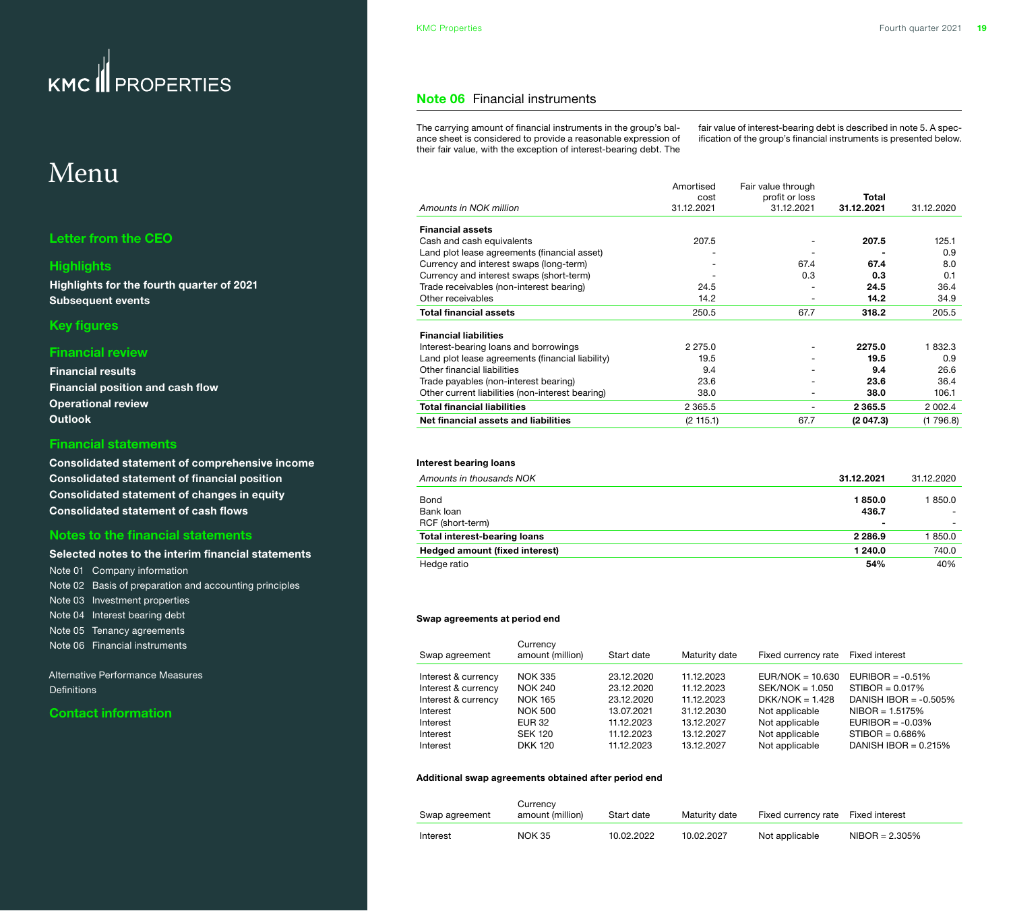### <span id="page-18-0"></span>Menu

#### **[Letter from the CEO](#page-1-0)**

#### **[Highlights](#page-2-0)**

**[Highlights for the fourth quarter of 2021](#page-2-0) [Subsequent events](#page-2-0)**

#### **[Key figures](#page-3-0)**

#### **[Financial review](#page-4-0)**

**[Financial results](#page-4-0) [Financial position and cash flow](#page-5-0) [Operational review](#page-6-0) [Outlook](#page-10-0)**

#### **[Financial statements](#page-11-0)**

**[Consolidated statement of comprehensive income](#page-11-0) [Consolidated statement of financial position](#page-12-0) [Consolidated statement of changes in equity](#page-13-0) [Consolidated statement of cash flows](#page-14-0)**

#### **[Notes to the financial statements](#page-15-0)**

#### **[Selected notes to the interim financial statements](#page-15-0)** [Note 01 Company information](#page-15-0)  [Note 02 Basis of preparation and accounting principles](#page-15-0) [Note 03 Investment properties](#page-15-0) [Note 04 Interest bearing debt](#page-16-0) [Note 05 Tenancy agreements](#page-17-0) Note 06 Financial instruments

[Alternative Performance Measures](#page-19-0)  [Definitions](#page-20-0) 

#### **[Contact information](#page-21-0)**

#### **Note 06** Financial instruments

The carrying amount of financial instruments in the group's balance sheet is considered to provide a reasonable expression of their fair value, with the exception of interest-bearing debt. The fair value of interest-bearing debt is described in note 5. A specification of the group's financial instruments is presented below.

|                                                  | Amortised  | Fair value through       |            |            |
|--------------------------------------------------|------------|--------------------------|------------|------------|
|                                                  | cost       | profit or loss           | Total      |            |
| Amounts in NOK million                           | 31.12.2021 | 31.12.2021               | 31.12.2021 | 31.12.2020 |
| <b>Financial assets</b>                          |            |                          |            |            |
| Cash and cash equivalents                        | 207.5      |                          | 207.5      | 125.1      |
| Land plot lease agreements (financial asset)     |            |                          |            | 0.9        |
| Currency and interest swaps (long-term)          |            | 67.4                     | 67.4       | 8.0        |
| Currency and interest swaps (short-term)         |            | 0.3                      | 0.3        | 0.1        |
| Trade receivables (non-interest bearing)         | 24.5       |                          | 24.5       | 36.4       |
| Other receivables                                | 14.2       |                          | 14.2       | 34.9       |
| <b>Total financial assets</b>                    | 250.5      | 67.7                     | 318.2      | 205.5      |
| <b>Financial liabilities</b>                     |            |                          |            |            |
| Interest-bearing loans and borrowings            | 2 2 7 5 .0 | $\overline{\phantom{a}}$ | 2275.0     | 1832.3     |
| Land plot lease agreements (financial liability) | 19.5       |                          | 19.5       | 0.9        |
| Other financial liabilities                      | 9.4        |                          | 9.4        | 26.6       |
| Trade payables (non-interest bearing)            | 23.6       |                          | 23.6       | 36.4       |
| Other current liabilities (non-interest bearing) | 38.0       |                          | 38.0       | 106.1      |
| <b>Total financial liabilities</b>               | 2 3 6 5 .5 | -                        | 2 3 6 5 .5 | 2 0 0 2.4  |
| Net financial assets and liabilities             | (2 115.1)  | 67.7                     | (2047.3)   | (1796.8)   |

#### **Interest bearing loans**

| Amounts in thousands NOK            | 31.12.2021 | 31.12.2020 |
|-------------------------------------|------------|------------|
| Bond                                | 1850.0     | 850.0      |
| Bank loan                           | 436.7      |            |
| RCF (short-term)                    | $\,$       |            |
| <b>Total interest-bearing loans</b> | 2 2 8 6 .9 | 850.0      |
| Hedged amount (fixed interest)      | 1 240.0    | 740.0      |
| Hedge ratio                         | 54%        | 40%        |

#### **Swap agreements at period end**

| Swap agreement      | Currency<br>amount (million) | Start date | Maturity date | Fixed currency rate | <b>Fixed interest</b>    |
|---------------------|------------------------------|------------|---------------|---------------------|--------------------------|
| Interest & currency | <b>NOK 335</b>               | 23.12.2020 | 11.12.2023    | $EUR/NOK = 10.630$  | EURIBOR = $-0.51\%$      |
| Interest & currency | NOK 240                      | 23.12.2020 | 11.12.2023    | $SEK/NOK = 1.050$   | $STIBOR = 0.017\%$       |
| Interest & currency | <b>NOK 165</b>               | 23.12.2020 | 11.12.2023    | $DKK/NOK = 1.428$   | DANISH IBOR = $-0.505\%$ |
| Interest            | <b>NOK 500</b>               | 13.07.2021 | 31.12.2030    | Not applicable      | $NIBOR = 1.5175%$        |
| Interest            | <b>EUR 32</b>                | 11.12.2023 | 13.12.2027    | Not applicable      | EURIBOR = $-0.03\%$      |
| Interest            | <b>SEK 120</b>               | 11.12.2023 | 13.12.2027    | Not applicable      | $STIBOR = 0.686\%$       |
| Interest            | <b>DKK 120</b>               | 11.12.2023 | 13.12.2027    | Not applicable      | DANISH IBOR = $0.215%$   |

#### **Additional swap agreements obtained after period end**

| Swap agreement | Currency<br>amount (million) | Start date | Maturity date | Fixed currency rate | Fixed interest   |
|----------------|------------------------------|------------|---------------|---------------------|------------------|
| Interest       | <b>NOK 35</b>                | 10.02.2022 | 10.02.2027    | Not applicable      | $NIBOR = 2.305%$ |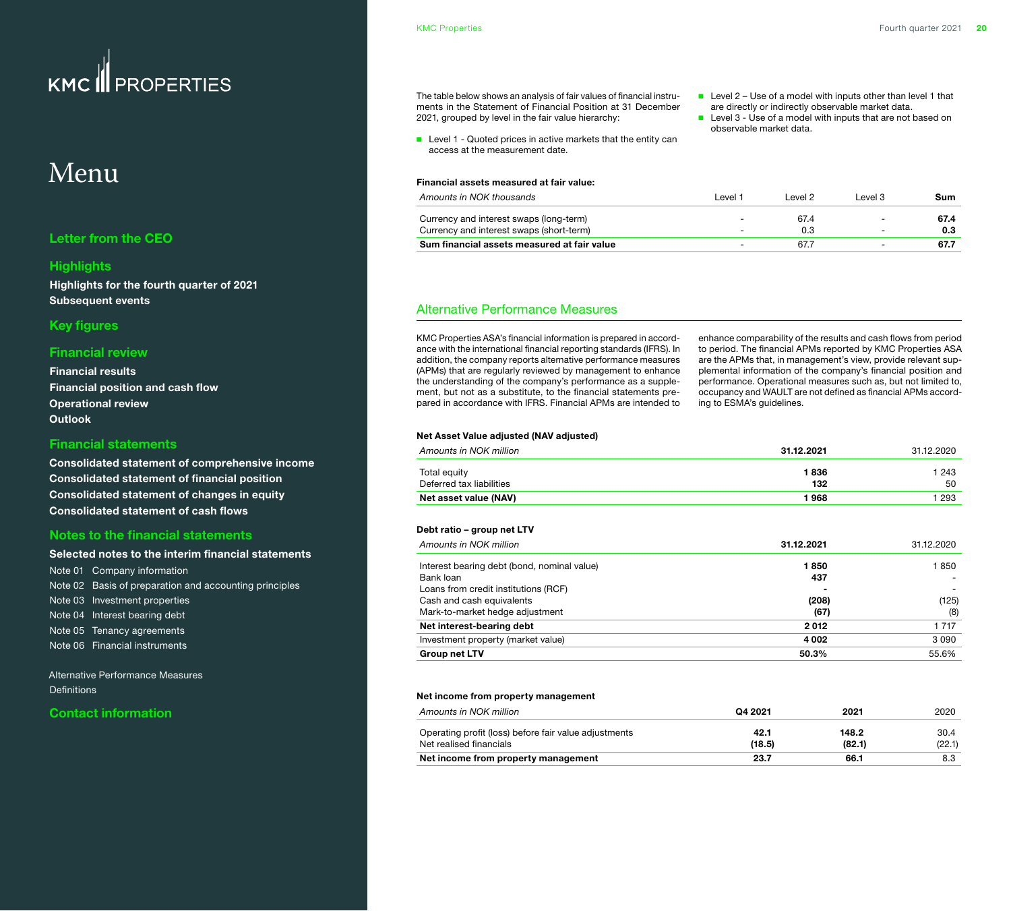## <span id="page-19-0"></span>Menu

#### **[Letter from the CEO](#page-1-0)**

#### **[Highlights](#page-2-0)**

**[Highlights for the fourth quarter of 2021](#page-2-0) [Subsequent events](#page-2-0)**

#### **[Key figures](#page-3-0)**

#### **[Financial review](#page-4-0)**

**[Financial results](#page-4-0) [Financial position and cash flow](#page-5-0) [Operational review](#page-6-0) [Outlook](#page-10-0)**

#### **[Financial statements](#page-11-0)**

**[Consolidated statement of comprehensive income](#page-11-0) [Consolidated statement of financial position](#page-12-0) [Consolidated statement of changes in equity](#page-13-0) [Consolidated statement of cash flows](#page-14-0)**

#### **[Notes to the financial statements](#page-15-0)**

#### **[Selected notes to the interim financial statements](#page-15-0)** [Note 01 Company information](#page-15-0)  [Note 02 Basis of preparation and accounting principles](#page-15-0) [Note 03 Investment properties](#page-15-0) [Note 04 Interest bearing debt](#page-16-0) [Note 05 Tenancy agreements](#page-17-0) [Note 06 Financial instruments](#page-18-0)

Alternative Performance Measures **Definitions** 

#### **[Contact information](#page-21-0)**

The table below shows an analysis of fair values of financial instruments in the Statement of Financial Position at 31 December 2021, grouped by level in the fair value hierarchy:

- Level 1 Quoted prices in active markets that the entity can access at the measurement date.
- Level 2 Use of a model with inputs other than level 1 that are directly or indirectly observable market data.
- Level 3 Use of a model with inputs that are not based on observable market data.

#### **Financial assets measured at fair value:** *Amounts in NOK thousands* Level 1 Level 2 Level 3 **Sum**

| Sum financial assets measured at fair value | $\overline{\phantom{a}}$ |  |  |
|---------------------------------------------|--------------------------|--|--|
| Currency and interest swaps (short-term)    | $\overline{\phantom{0}}$ |  |  |
| Currency and interest swaps (long-term)     | $\overline{\phantom{a}}$ |  |  |
|                                             |                          |  |  |

#### Alternative Performance Measures

KMC Properties ASA's financial information is prepared in accordance with the international financial reporting standards (IFRS). In addition, the company reports alternative performance measures (APMs) that are regularly reviewed by management to enhance the understanding of the company's performance as a supplement, but not as a substitute, to the financial statements prepared in accordance with IFRS. Financial APMs are intended to enhance comparability of the results and cash flows from period to period. The financial APMs reported by KMC Properties ASA are the APMs that, in management's view, provide relevant supplemental information of the company's financial position and performance. Operational measures such as, but not limited to, occupancy and WAULT are not defined as financial APMs according to ESMA's guidelines.

#### **Net Asset Value adjusted (NAV adjusted)**

| Amounts in NOK million                      | 31.12.2021 | 31.12.2020 |
|---------------------------------------------|------------|------------|
| Total equity                                | 1836       | 1 2 4 3    |
| Deferred tax liabilities                    | 132        | 50         |
| Net asset value (NAV)                       | 1968       | 1 293      |
| Debt ratio – group net LTV                  |            |            |
| Amounts in NOK million                      | 31.12.2021 | 31.12.2020 |
| Interest bearing debt (bond, nominal value) | 1850       | 1850       |
| Bank loan                                   | 437        |            |
| Loans from credit institutions (RCF)        |            |            |
| Cash and cash equivalents                   | (208)      | (125)      |
| Mark-to-market hedge adjustment             | (67)       | (8)        |
| Net interest-bearing debt                   | 2012       | 1 7 1 7    |
| Investment property (market value)          | 4 0 0 2    | 3090       |
| <b>Group net LTV</b>                        | 50.3%      | 55.6%      |

#### **Net income from property management**

| Amounts in NOK million                                                           | Q4 2021        | 2021            | 2020           |
|----------------------------------------------------------------------------------|----------------|-----------------|----------------|
| Operating profit (loss) before fair value adjustments<br>Net realised financials | 42.1<br>(18.5) | 148.2<br>(82.1) | 30.4<br>(22.1) |
| Net income from property management                                              | 23.7           | 66.1            | 8.3            |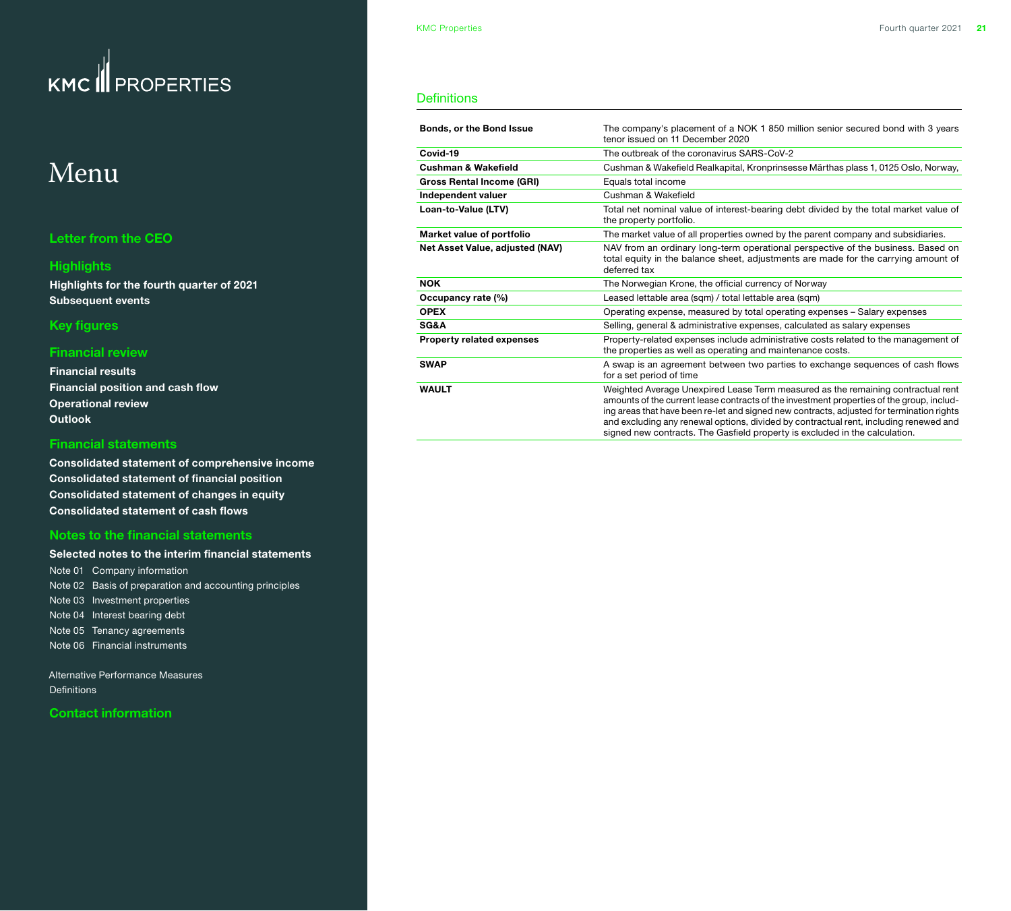## <span id="page-20-0"></span>Menu

#### **[Letter from the CEO](#page-1-0)**

#### **[Highlights](#page-2-0)**

**[Highlights for the fourth quarter of 2021](#page-2-0) [Subsequent events](#page-2-0)**

#### **[Key figures](#page-3-0)**

#### **[Financial review](#page-4-0)**

**[Financial results](#page-4-0) [Financial position and cash flow](#page-5-0) [Operational review](#page-6-0) [Outlook](#page-10-0)**

#### **[Financial statements](#page-11-0)**

**[Consolidated statement of comprehensive income](#page-11-0) [Consolidated statement of financial position](#page-12-0) [Consolidated statement of changes in equity](#page-13-0) [Consolidated statement of cash flows](#page-14-0)**

#### **[Notes to the financial statements](#page-15-0)**

**[Selected notes to the interim financial statements](#page-15-0)** [Note 01 Company information](#page-15-0)  [Note 02 Basis of preparation and accounting principles](#page-15-0) [Note 03 Investment properties](#page-15-0) [Note 04 Interest bearing debt](#page-16-0) [Note 05 Tenancy agreements](#page-17-0) [Note 06 Financial instruments](#page-18-0) 

[Alternative Performance Measures](#page-19-0)  Definitions

**[Contact information](#page-21-0)**

#### **Definitions**

| <b>Bonds, or the Bond Issue</b>  | The company's placement of a NOK 1 850 million senior secured bond with 3 years<br>tenor issued on 11 December 2020                                                                                                                                                                                                                                                                                                                                |  |
|----------------------------------|----------------------------------------------------------------------------------------------------------------------------------------------------------------------------------------------------------------------------------------------------------------------------------------------------------------------------------------------------------------------------------------------------------------------------------------------------|--|
| Covid-19                         | The outbreak of the coronavirus SARS-CoV-2                                                                                                                                                                                                                                                                                                                                                                                                         |  |
| <b>Cushman &amp; Wakefield</b>   | Cushman & Wakefield Realkapital, Kronprinsesse Märthas plass 1, 0125 Oslo, Norway,                                                                                                                                                                                                                                                                                                                                                                 |  |
| <b>Gross Rental Income (GRI)</b> | Equals total income                                                                                                                                                                                                                                                                                                                                                                                                                                |  |
| Independent valuer               | Cushman & Wakefield                                                                                                                                                                                                                                                                                                                                                                                                                                |  |
| Loan-to-Value (LTV)              | Total net nominal value of interest-bearing debt divided by the total market value of<br>the property portfolio.                                                                                                                                                                                                                                                                                                                                   |  |
| Market value of portfolio        | The market value of all properties owned by the parent company and subsidiaries.                                                                                                                                                                                                                                                                                                                                                                   |  |
| Net Asset Value, adjusted (NAV)  | NAV from an ordinary long-term operational perspective of the business. Based on<br>total equity in the balance sheet, adjustments are made for the carrying amount of<br>deferred tax                                                                                                                                                                                                                                                             |  |
| <b>NOK</b>                       | The Norwegian Krone, the official currency of Norway                                                                                                                                                                                                                                                                                                                                                                                               |  |
| Occupancy rate (%)               | Leased lettable area (sqm) / total lettable area (sqm)                                                                                                                                                                                                                                                                                                                                                                                             |  |
| <b>OPEX</b>                      | Operating expense, measured by total operating expenses – Salary expenses                                                                                                                                                                                                                                                                                                                                                                          |  |
| SG&A                             | Selling, general & administrative expenses, calculated as salary expenses                                                                                                                                                                                                                                                                                                                                                                          |  |
| <b>Property related expenses</b> | Property-related expenses include administrative costs related to the management of<br>the properties as well as operating and maintenance costs.                                                                                                                                                                                                                                                                                                  |  |
| <b>SWAP</b>                      | A swap is an agreement between two parties to exchange sequences of cash flows<br>for a set period of time                                                                                                                                                                                                                                                                                                                                         |  |
| <b>WAULT</b>                     | Weighted Average Unexpired Lease Term measured as the remaining contractual rent<br>amounts of the current lease contracts of the investment properties of the group, includ-<br>ing areas that have been re-let and signed new contracts, adjusted for termination rights<br>and excluding any renewal options, divided by contractual rent, including renewed and<br>signed new contracts. The Gasfield property is excluded in the calculation. |  |